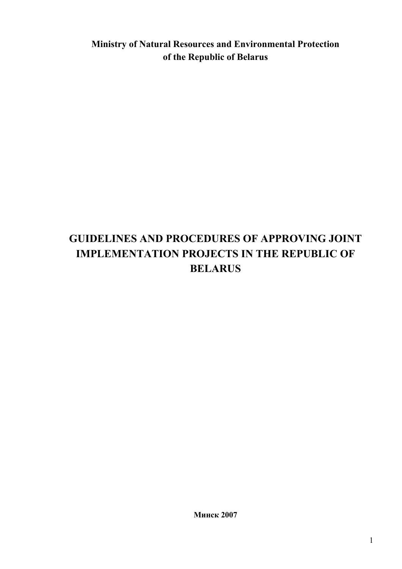**Ministry of Natural Resources and Environmental Protection of the Republic of Belarus** 

# **GUIDELINES AND PROCEDURES OF APPROVING JOINT IMPLEMENTATION PROJECTS IN THE REPUBLIC OF BELARUS**

**Минск 2007**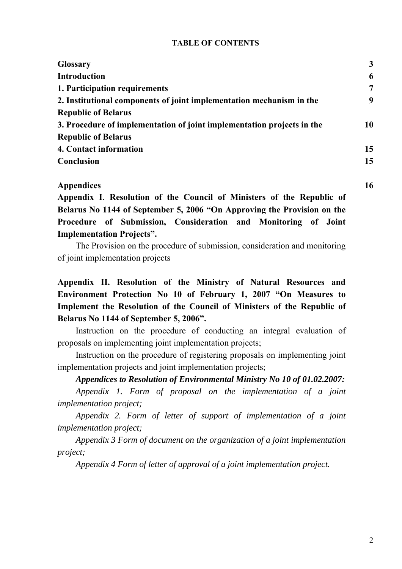#### **TABLE OF CONTENTS**

| <b>Glossary</b>                                                        | 3  |
|------------------------------------------------------------------------|----|
| <b>Introduction</b>                                                    | 6  |
| 1. Participation requirements                                          | 7  |
| 2. Institutional components of joint implementation mechanism in the   | 9  |
| <b>Republic of Belarus</b>                                             |    |
| 3. Procedure of implementation of joint implementation projects in the | 10 |
| <b>Republic of Belarus</b>                                             |    |
| 4. Contact information                                                 | 15 |
| <b>Conclusion</b>                                                      | 15 |
|                                                                        |    |

#### **Appendices 16**

**Appendix I**. **Resolution of the Council of Ministers of the Republic of Belarus No 1144 of September 5, 2006 "On Approving the Provision on the Procedure of Submission, Consideration and Monitoring of Joint Implementation Projects".** 

The Provision on the procedure of submission, consideration and monitoring of joint implementation projects

## **Appendix II. Resolution of the Ministry of Natural Resources and Environment Protection No 10 of February 1, 2007 "On Measures to Implement the Resolution of the Council of Ministers of the Republic of Belarus No 1144 of September 5, 2006".**

Instruction on the procedure of conducting an integral evaluation of proposals on implementing joint implementation projects;

Instruction on the procedure of registering proposals on implementing joint implementation projects and joint implementation projects;

#### *Appendices to Resolution of Environmental Ministry No 10 of 01.02.2007:*

*Appendix 1. Form of proposal on the implementation of a joint implementation project;* 

*Appendix 2. Form of letter of support of implementation of a joint implementation project;* 

*Appendix 3 Form of document on the organization of a joint implementation project;* 

*Appendix 4 Form of letter of approval of a joint implementation project.*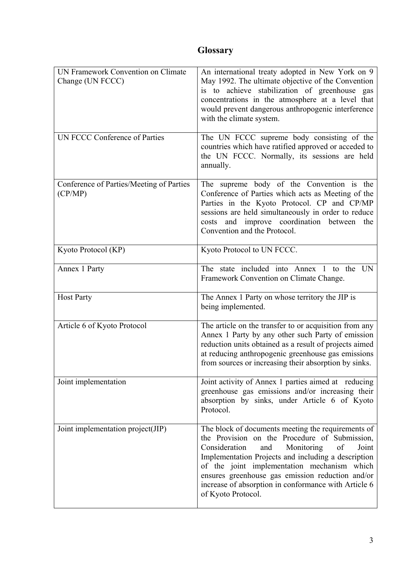# **Glossary**

| <b>UN Framework Convention on Climate</b><br>Change (UN FCCC)<br><b>UN FCCC Conference of Parties</b> | An international treaty adopted in New York on 9<br>May 1992. The ultimate objective of the Convention<br>is to achieve stabilization of greenhouse gas<br>concentrations in the atmosphere at a level that<br>would prevent dangerous anthropogenic interference<br>with the climate system.<br>The UN FCCC supreme body consisting of the                                                      |
|-------------------------------------------------------------------------------------------------------|--------------------------------------------------------------------------------------------------------------------------------------------------------------------------------------------------------------------------------------------------------------------------------------------------------------------------------------------------------------------------------------------------|
|                                                                                                       | countries which have ratified approved or acceded to<br>the UN FCCC. Normally, its sessions are held<br>annually.                                                                                                                                                                                                                                                                                |
| Conference of Parties/Meeting of Parties<br>(CP/MP)                                                   | The supreme body of the Convention is the<br>Conference of Parties which acts as Meeting of the<br>Parties in the Kyoto Protocol. CP and CP/MP<br>sessions are held simultaneously in order to reduce<br>and improve coordination between<br>costs<br>the<br>Convention and the Protocol.                                                                                                        |
| Kyoto Protocol (KP)                                                                                   | Kyoto Protocol to UN FCCC.                                                                                                                                                                                                                                                                                                                                                                       |
| Annex 1 Party                                                                                         | The state included into Annex 1 to the UN<br>Framework Convention on Climate Change.                                                                                                                                                                                                                                                                                                             |
| <b>Host Party</b>                                                                                     | The Annex 1 Party on whose territory the JIP is<br>being implemented.                                                                                                                                                                                                                                                                                                                            |
| Article 6 of Kyoto Protocol                                                                           | The article on the transfer to or acquisition from any<br>Annex 1 Party by any other such Party of emission<br>reduction units obtained as a result of projects aimed<br>at reducing anthropogenic greenhouse gas emissions<br>from sources or increasing their absorption by sinks.                                                                                                             |
| Joint implementation                                                                                  | Joint activity of Annex 1 parties aimed at reducing<br>greenhouse gas emissions and/or increasing their<br>absorption by sinks, under Article 6 of Kyoto<br>Protocol.                                                                                                                                                                                                                            |
| Joint implementation project(JIP)                                                                     | The block of documents meeting the requirements of<br>the Provision on the Procedure of Submission,<br>Consideration<br>Monitoring<br>of<br>Joint<br>and<br>Implementation Projects and including a description<br>of the joint implementation mechanism which<br>ensures greenhouse gas emission reduction and/or<br>increase of absorption in conformance with Article 6<br>of Kyoto Protocol. |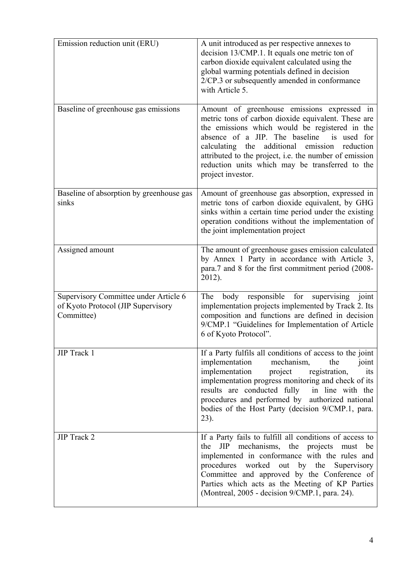| Emission reduction unit (ERU)                                                             | A unit introduced as per respective annexes to<br>decision 13/CMP.1. It equals one metric ton of<br>carbon dioxide equivalent calculated using the<br>global warming potentials defined in decision<br>2/CP.3 or subsequently amended in conformance<br>with Article 5.                                                                                                                     |
|-------------------------------------------------------------------------------------------|---------------------------------------------------------------------------------------------------------------------------------------------------------------------------------------------------------------------------------------------------------------------------------------------------------------------------------------------------------------------------------------------|
| Baseline of greenhouse gas emissions                                                      | Amount of greenhouse emissions expressed in<br>metric tons of carbon dioxide equivalent. These are<br>the emissions which would be registered in the<br>absence of a JIP. The baseline is used for<br>additional emission<br>calculating the<br>reduction<br>attributed to the project, i.e. the number of emission<br>reduction units which may be transferred to the<br>project investor. |
| Baseline of absorption by greenhouse gas<br>sinks                                         | Amount of greenhouse gas absorption, expressed in<br>metric tons of carbon dioxide equivalent, by GHG<br>sinks within a certain time period under the existing<br>operation conditions without the implementation of<br>the joint implementation project                                                                                                                                    |
| Assigned amount                                                                           | The amount of greenhouse gases emission calculated<br>by Annex 1 Party in accordance with Article 3,<br>para.7 and 8 for the first commitment period (2008-<br>2012).                                                                                                                                                                                                                       |
| Supervisory Committee under Article 6<br>of Kyoto Protocol (JIP Supervisory<br>Committee) | responsible for<br>supervising<br>The<br>body<br>joint<br>implementation projects implemented by Track 2. Its<br>composition and functions are defined in decision<br>9/CMP.1 "Guidelines for Implementation of Article<br>6 of Kyoto Protocol".                                                                                                                                            |
| JIP Track 1                                                                               | If a Party fulfils all conditions of access to the joint<br>implementation<br>mechanism,<br>the<br>joint<br>implementation<br>project<br>registration,<br>its<br>implementation progress monitoring and check of its<br>results are conducted fully<br>in line with the<br>procedures and performed by authorized national<br>bodies of the Host Party (decision 9/CMP.1, para.<br>$23$ ).  |
| JIP Track 2                                                                               | If a Party fails to fulfill all conditions of access to<br>JIP<br>mechanisms, the projects must<br>the<br>be<br>implemented in conformance with the rules and<br>procedures worked out by the Supervisory<br>Committee and approved by the Conference of<br>Parties which acts as the Meeting of KP Parties<br>(Montreal, 2005 - decision 9/CMP.1, para. 24).                               |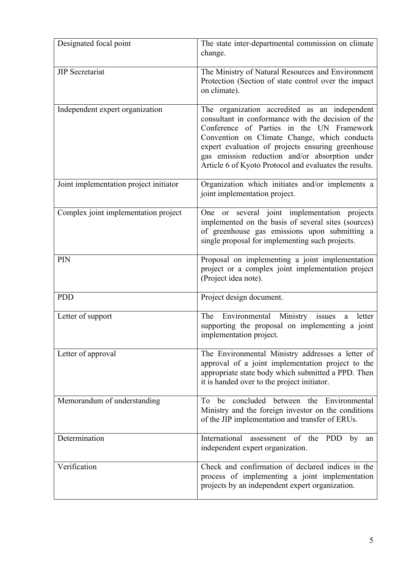| Designated focal point                 | The state inter-departmental commission on climate<br>change.                                                                                                                                                                                                                                                                                                     |
|----------------------------------------|-------------------------------------------------------------------------------------------------------------------------------------------------------------------------------------------------------------------------------------------------------------------------------------------------------------------------------------------------------------------|
| <b>JIP</b> Secretariat                 | The Ministry of Natural Resources and Environment<br>Protection (Section of state control over the impact<br>on climate).                                                                                                                                                                                                                                         |
| Independent expert organization        | The organization accredited as an independent<br>consultant in conformance with the decision of the<br>Conference of Parties in the UN Framework<br>Convention on Climate Change, which conducts<br>expert evaluation of projects ensuring greenhouse<br>gas emission reduction and/or absorption under<br>Article 6 of Kyoto Protocol and evaluates the results. |
| Joint implementation project initiator | Organization which initiates and/or implements a<br>joint implementation project.                                                                                                                                                                                                                                                                                 |
| Complex joint implementation project   | One or several joint implementation projects<br>implemented on the basis of several sites (sources)<br>of greenhouse gas emissions upon submitting a<br>single proposal for implementing such projects.                                                                                                                                                           |
| PIN                                    | Proposal on implementing a joint implementation<br>project or a complex joint implementation project<br>(Project idea note).                                                                                                                                                                                                                                      |
| <b>PDD</b>                             | Project design document.                                                                                                                                                                                                                                                                                                                                          |
| Letter of support                      | The Environmental Ministry issues<br>letter<br>a<br>supporting the proposal on implementing a joint<br>implementation project.                                                                                                                                                                                                                                    |
| Letter of approval                     | The Environmental Ministry addresses a letter of<br>approval of a joint implementation project to the<br>appropriate state body which submitted a PPD. Then<br>it is handed over to the project initiator.                                                                                                                                                        |
| Memorandum of understanding            | To be concluded between the Environmental<br>Ministry and the foreign investor on the conditions<br>of the JIP implementation and transfer of ERUs.                                                                                                                                                                                                               |
| Determination                          | International<br>assessment of the<br><b>PDD</b><br>by<br>an<br>independent expert organization.                                                                                                                                                                                                                                                                  |
| Verification                           | Check and confirmation of declared indices in the<br>process of implementing a joint implementation<br>projects by an independent expert organization.                                                                                                                                                                                                            |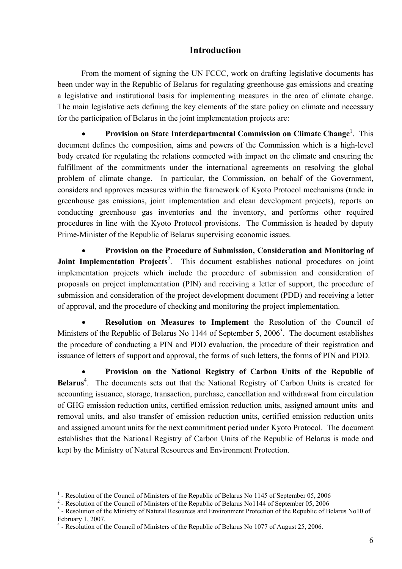## **Introduction**

From the moment of signing the UN FCCC, work on drafting legislative documents has been under way in the Republic of Belarus for regulating greenhouse gas emissions and creating a legislative and institutional basis for implementing measures in the area of climate change. The main legislative acts defining the key elements of the state policy on climate and necessary for the participation of Belarus in the joint implementation projects are:

**•** Provision on State Interdepartmental Commission on Climate Change<sup>1</sup>. This document defines the composition, aims and powers of the Commission which is a high-level body created for regulating the relations connected with impact on the climate and ensuring the fulfillment of the commitments under the international agreements on resolving the global problem of climate change. In particular, the Commission, on behalf of the Government, considers and approves measures within the framework of Kyoto Protocol mechanisms (trade in greenhouse gas emissions, joint implementation and clean development projects), reports on conducting greenhouse gas inventories and the inventory, and performs other required procedures in line with the Kyoto Protocol provisions. The Commission is headed by deputy Prime-Minister of the Republic of Belarus supervising economic issues.

• **Provision on the Procedure of Submission, Consideration and Monitoring of Joint Implementation Projects<sup>2</sup>.** This document establishes national procedures on joint implementation projects which include the procedure of submission and consideration of proposals on project implementation (PIN) and receiving a letter of support, the procedure of submission and consideration of the project development document (PDD) and receiving a letter of approval, and the procedure of checking and monitoring the project implementation.

• **Resolution on Measures to Implement** the Resolution of the Council of Ministers of the Republic of Belarus No 1144 of September 5,  $2006<sup>3</sup>$ . The document establishes the procedure of conducting a PIN and PDD evaluation, the procedure of their registration and issuance of letters of support and approval, the forms of such letters, the forms of PIN and PDD.

• **Provision on the National Registry of Carbon Units of the Republic of**  Belarus<sup>4</sup>. The documents sets out that the National Registry of Carbon Units is created for accounting issuance, storage, transaction, purchase, cancellation and withdrawal from circulation of GHG emission reduction units, certified emission reduction units, assigned amount units and removal units, and also transfer of emission reduction units, certified emission reduction units and assigned amount units for the next commitment period under Kyoto Protocol. The document establishes that the National Registry of Carbon Units of the Republic of Belarus is made and kept by the Ministry of Natural Resources and Environment Protection.

 $\overline{a}$ 

 $<sup>1</sup>$  - Resolution of the Council of Ministers of the Republic of Belarus No 1145 of September 05, 2006</sup>

<sup>&</sup>lt;sup>2</sup> - Resolution of the Council of Ministers of the Republic of Belarus No1144 of September 05, 2006

<sup>&</sup>lt;sup>3</sup> - Resolution of the Ministry of Natural Resources and Environment Protection of the Republic of Belarus No10 of February 1, 2007.

<sup>&</sup>lt;sup>4</sup> - Resolution of the Council of Ministers of the Republic of Belarus No 1077 of August 25, 2006.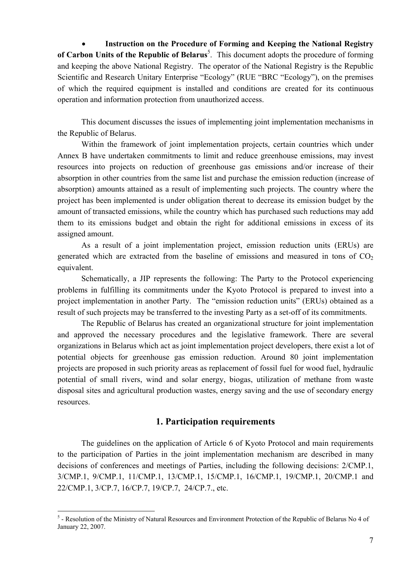• **Instruction on the Procedure of Forming and Keeping the National Registry**  of Carbon Units of the Republic of Belarus<sup>5</sup>. This document adopts the procedure of forming and keeping the above National Registry. The operator of the National Registry is the Republic Scientific and Research Unitary Enterprise "Ecology" (RUE "BRC "Ecology"), on the premises of which the required equipment is installed and conditions are created for its continuous operation and information protection from unauthorized access.

This document discusses the issues of implementing joint implementation mechanisms in the Republic of Belarus.

Within the framework of joint implementation projects, certain countries which under Annex B have undertaken commitments to limit and reduce greenhouse emissions, may invest resources into projects on reduction of greenhouse gas emissions and/or increase of their absorption in other countries from the same list and purchase the emission reduction (increase of absorption) amounts attained as a result of implementing such projects. The country where the project has been implemented is under obligation thereat to decrease its emission budget by the amount of transacted emissions, while the country which has purchased such reductions may add them to its emissions budget and obtain the right for additional emissions in excess of its assigned amount.

As a result of a joint implementation project, emission reduction units (ERUs) are generated which are extracted from the baseline of emissions and measured in tons of  $CO<sub>2</sub>$ equivalent.

Schematically, a JIP represents the following: The Party to the Protocol experiencing problems in fulfilling its commitments under the Kyoto Protocol is prepared to invest into a project implementation in another Party. The "emission reduction units" (ERUs) obtained as a result of such projects may be transferred to the investing Party as a set-off of its commitments.

The Republic of Belarus has created an organizational structure for joint implementation and approved the necessary procedures and the legislative framework. There are several organizations in Belarus which act as joint implementation project developers, there exist a lot of potential objects for greenhouse gas emission reduction. Around 80 joint implementation projects are proposed in such priority areas as replacement of fossil fuel for wood fuel, hydraulic potential of small rivers, wind and solar energy, biogas, utilization of methane from waste disposal sites and agricultural production wastes, energy saving and the use of secondary energy resources.

## **1. Participation requirements**

The guidelines on the application of Article 6 of Kyoto Protocol and main requirements to the participation of Parties in the joint implementation mechanism are described in many decisions of conferences and meetings of Parties, including the following decisions: 2/CMP.1, 3/CMP.1, 9/CMP.1, 11/CMP.1, 13/CMP.1, 15/CMP.1, 16/CMP.1, 19/CMP.1, 20/CMP.1 and 22/CMP.1, 3/CP.7, 16/СР.7, 19/СР.7, 24/CP.7., etc.

 $\overline{a}$ 

<sup>&</sup>lt;sup>5</sup> - Resolution of the Ministry of Natural Resources and Environment Protection of the Republic of Belarus No 4 of January 22, 2007.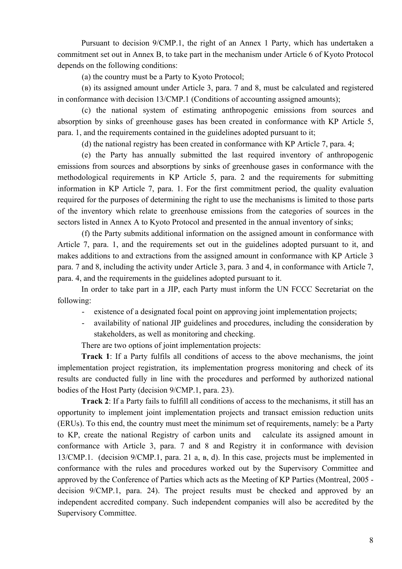Pursuant to decision 9/СМР.1, the right of an Annex 1 Party, which has undertaken a commitment set out in Annex В, to take part in the mechanism under Article 6 of Kyoto Protocol depends on the following conditions:

(а) the country must be a Party to Kyoto Protocol;

(в) its assigned amount under Article 3, para. 7 and 8, must be calculated and registered in conformance with decision 13/СМР.1 (Conditions of accounting assigned amounts);

(с) the national system of estimating anthropogenic emissions from sources and absorption by sinks of greenhouse gases has been created in conformance with KP Article 5, para. 1, and the requirements contained in the guidelines adopted pursuant to it;

(d) the national registry has been created in conformance with KP Article 7, para. 4;

(e) the Party has annually submitted the last required inventory of anthropogenic emissions from sources and absorptions by sinks of greenhouse gases in conformance with the methodological requirements in KP Article 5, para. 2 and the requirements for submitting information in KP Article 7, para. 1. For the first commitment period, the quality evaluation required for the purposes of determining the right to use the mechanisms is limited to those parts of the inventory which relate to greenhouse emissions from the categories of sources in the sectors listed in Annex A to Kyoto Protocol and presented in the annual inventory of sinks;

(f) the Party submits additional information on the assigned amount in conformance with Article 7, para. 1, and the requirements set out in the guidelines adopted pursuant to it, and makes additions to and extractions from the assigned amount in conformance with KP Article 3 para. 7 and 8, including the activity under Article 3, para. 3 and 4, in conformance with Article 7, para. 4, and the requirements in the guidelines adopted pursuant to it.

In order to take part in a JIP, each Party must inform the UN FCCC Secretariat on the following:

- existence of a designated focal point on approving joint implementation projects;
- availability of national JIP guidelines and procedures, including the consideration by stakeholders, as well as monitoring and checking.

There are two options of joint implementation projects:

**Track 1**: If a Party fulfils all conditions of access to the above mechanisms, the joint implementation project registration, its implementation progress monitoring and check of its results are conducted fully in line with the procedures and performed by authorized national bodies of the Host Party (decision 9/СМР.1, para. 23).

**Track 2**: If a Party fails to fulfill all conditions of access to the mechanisms, it still has an opportunity to implement joint implementation projects and transact emission reduction units (ERUs). To this end, the country must meet the minimum set of requirements, namely: be a Party to KP, create the national Registry of carbon units and calculate its assigned amount in conformance with Article 3, para. 7 and 8 and Registry it in conformance with devision 13/СМР.1. (decision 9/СМР.1, para. 21 а, в, d). In this case, projects must be implemented in conformance with the rules and procedures worked out by the Supervisory Committee and approved by the Conference of Parties which acts as the Meeting of KP Parties (Montreal, 2005 decision 9/СМР.1, para. 24). The project results must be checked and approved by an independent accredited company. Such independent companies will also be accredited by the Supervisory Committee.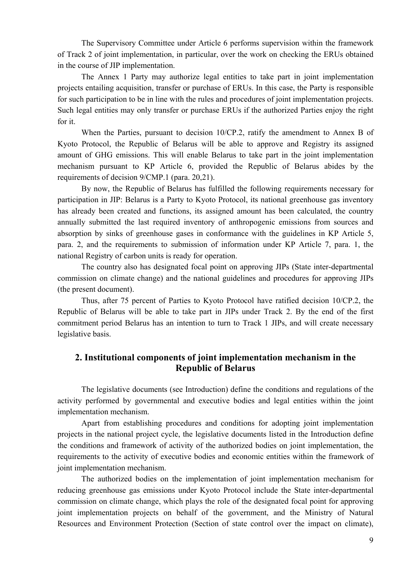The Supervisory Committee under Article 6 performs supervision within the framework of Track 2 of joint implementation, in particular, over the work on checking the ERUs obtained in the course of JIP implementation.

The Annex 1 Party may authorize legal entities to take part in joint implementation projects entailing acquisition, transfer or purchase of ERUs. In this case, the Party is responsible for such participation to be in line with the rules and procedures of joint implementation projects. Such legal entities may only transfer or purchase ERUs if the authorized Parties enjoy the right for it.

When the Parties, pursuant to decision 10/CP.2, ratify the amendment to Annex B of Kyoto Protocol, the Republic of Belarus will be able to approve and Registry its assigned amount of GHG emissions. This will enable Belarus to take part in the joint implementation mechanism pursuant to KP Article 6, provided the Republic of Belarus abides by the requirements of decision 9/СМР.1 (para. 20,21).

By now, the Republic of Belarus has fulfilled the following requirements necessary for participation in JIP: Belarus is a Party to Kyoto Protocol, its national greenhouse gas inventory has already been created and functions, its assigned amount has been calculated, the country annually submitted the last required inventory of anthropogenic emissions from sources and absorption by sinks of greenhouse gases in conformance with the guidelines in KP Article 5, para. 2, and the requirements to submission of information under KP Article 7, para. 1, the national Registry of carbon units is ready for operation.

The country also has designated focal point on approving JIPs (State inter-departmental commission on climate change) and the national guidelines and procedures for approving JIPs (the present document).

Thus, after 75 percent of Parties to Kyoto Protocol have ratified decision 10/CP.2, the Republic of Belarus will be able to take part in JIPs under Track 2. By the end of the first commitment period Belarus has an intention to turn to Track 1 JIPs, and will create necessary legislative basis.

## **2. Institutional components of joint implementation mechanism in the Republic of Belarus**

The legislative documents (see Introduction) define the conditions and regulations of the activity performed by governmental and executive bodies and legal entities within the joint implementation mechanism.

Apart from establishing procedures and conditions for adopting joint implementation projects in the national project cycle, the legislative documents listed in the Introduction define the conditions and framework of activity of the authorized bodies on joint implementation, the requirements to the activity of executive bodies and economic entities within the framework of joint implementation mechanism.

The authorized bodies on the implementation of joint implementation mechanism for reducing greenhouse gas emissions under Kyoto Protocol include the State inter-departmental commission on climate change, which plays the role of the designated focal point for approving joint implementation projects on behalf of the government, and the Ministry of Natural Resources and Environment Protection (Section of state control over the impact on climate),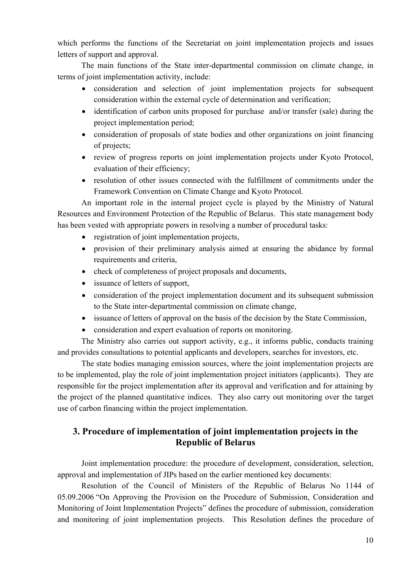which performs the functions of the Secretariat on joint implementation projects and issues letters of support and approval.

The main functions of the State inter-departmental commission on climate change, in terms of joint implementation activity, include:

- consideration and selection of joint implementation projects for subsequent consideration within the external cycle of determination and verification;
- identification of carbon units proposed for purchase and/or transfer (sale) during the project implementation period;
- consideration of proposals of state bodies and other organizations on joint financing of projects;
- review of progress reports on joint implementation projects under Kyoto Protocol, evaluation of their efficiency;
- resolution of other issues connected with the fulfillment of commitments under the Framework Convention on Climate Change and Kyoto Protocol.

An important role in the internal project cycle is played by the Ministry of Natural Resources and Environment Protection of the Republic of Belarus. This state management body has been vested with appropriate powers in resolving a number of procedural tasks:

- registration of joint implementation projects,
- provision of their preliminary analysis aimed at ensuring the abidance by formal requirements and criteria,
- check of completeness of project proposals and documents,
- issuance of letters of support,
- consideration of the project implementation document and its subsequent submission to the State inter-departmental commission on climate change,
- issuance of letters of approval on the basis of the decision by the State Commission,
- consideration and expert evaluation of reports on monitoring.

The Ministry also carries out support activity, e.g., it informs public, conducts training and provides consultations to potential applicants and developers, searches for investors, etc.

The state bodies managing emission sources, where the joint implementation projects are to be implemented, play the role of joint implementation project initiators (applicants). They are responsible for the project implementation after its approval and verification and for attaining by the project of the planned quantitative indices. They also carry out monitoring over the target use of carbon financing within the project implementation.

## **3. Procedure of implementation of joint implementation projects in the Republic of Belarus**

Joint implementation procedure: the procedure of development, consideration, selection, approval and implementation of JIPs based on the earlier mentioned key documents:

Resolution of the Council of Ministers of the Republic of Belarus No 1144 of 05.09.2006 "On Approving the Provision on the Procedure of Submission, Consideration and Monitoring of Joint Implementation Projects" defines the procedure of submission, consideration and monitoring of joint implementation projects. This Resolution defines the procedure of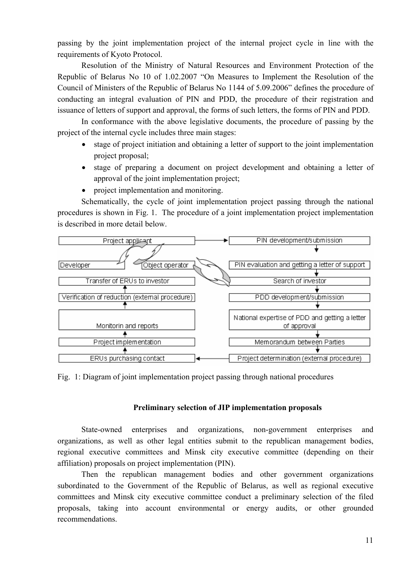passing by the joint implementation project of the internal project cycle in line with the requirements of Kyoto Protocol.

Resolution of the Ministry of Natural Resources and Environment Protection of the Republic of Belarus No 10 of 1.02.2007 "On Measures to Implement the Resolution of the Council of Ministers of the Republic of Belarus No 1144 of 5.09.2006" defines the procedure of conducting an integral evaluation of PIN and PDD, the procedure of their registration and issuance of letters of support and approval, the forms of such letters, the forms of PIN and PDD.

In conformance with the above legislative documents, the procedure of passing by the project of the internal cycle includes three main stages:

- stage of project initiation and obtaining a letter of support to the joint implementation project proposal;
- stage of preparing a document on project development and obtaining a letter of approval of the joint implementation project;
- project implementation and monitoring.

Schematically, the cycle of joint implementation project passing through the national procedures is shown in Fig. 1. The procedure of a joint implementation project implementation is described in more detail below.



Fig. 1: Diagram of joint implementation project passing through national procedures

#### **Preliminary selection of JIP implementation proposals**

State-owned enterprises and organizations, non-government enterprises and organizations, as well as other legal entities submit to the republican management bodies, regional executive committees and Minsk city executive committee (depending on their affiliation) proposals on project implementation (PIN).

Then the republican management bodies and other government organizations subordinated to the Government of the Republic of Belarus, as well as regional executive committees and Minsk city executive committee conduct a preliminary selection of the filed proposals, taking into account environmental or energy audits, or other grounded recommendations.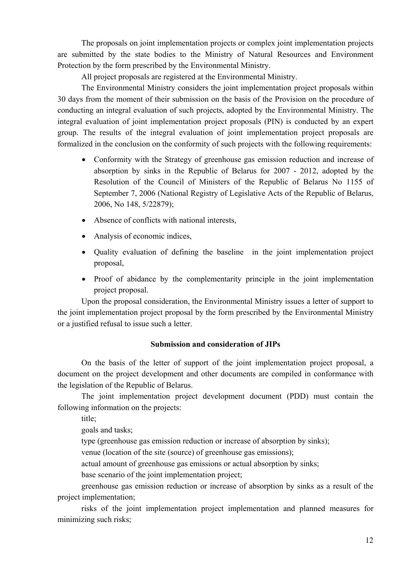The proposals on joint implementation projects or complex joint implementation projects are submitted by the state bodies to the Ministry of Natural Resources and Environment Protection by the form prescribed by the Environmental Ministry.

All project proposals are registered at the Environmental Ministry.

The Environmental Ministry considers the joint implementation project proposals within 30 days from the moment of their submission on the basis of the Provision on the procedure of conducting an integral evaluation of such projects, adopted by the Environmental Ministry. The integral evaluation of joint implementation project proposals (PIN) is conducted by an expert group. The results of the integral evaluation of joint implementation project proposals are formalized in the conclusion on the conformity of such projects with the following requirements:

- Conformity with the Strategy of greenhouse gas emission reduction and increase of absorption by sinks in the Republic of Belarus for 2007 - 2012, adopted by the Resolution of the Council of Ministers of the Republic of Belarus No 1155 of September 7, 2006 (National Registry of Legislative Acts of the Republic of Belarus, 2006, No 148, 5/22879);
- Absence of conflicts with national interests,
- Analysis of economic indices,
- Quality evaluation of defining the baseline in the joint implementation project proposal,
- Proof of abidance by the complementarity principle in the joint implementation project proposal.

Upon the proposal consideration, the Environmental Ministry issues a letter of support to the joint implementation project proposal by the form prescribed by the Environmental Ministry or a justified refusal to issue such a letter.

## **Submission and consideration of JIPs**

On the basis of the letter of support of the joint implementation project proposal, a document on the project development and other documents are compiled in conformance with the legislation of the Republic of Belarus.

The joint implementation project development document (PDD) must contain the following information on the projects:

title;

goals and tasks;

type (greenhouse gas emission reduction or increase of absorption by sinks);

venue (location of the site (source) of greenhouse gas emissions);

actual amount of greenhouse gas emissions or actual absorption by sinks;

base scenario of the joint implementation project;

greenhouse gas emission reduction or increase of absorption by sinks as a result of the project implementation;

risks of the joint implementation project implementation and planned measures for minimizing such risks;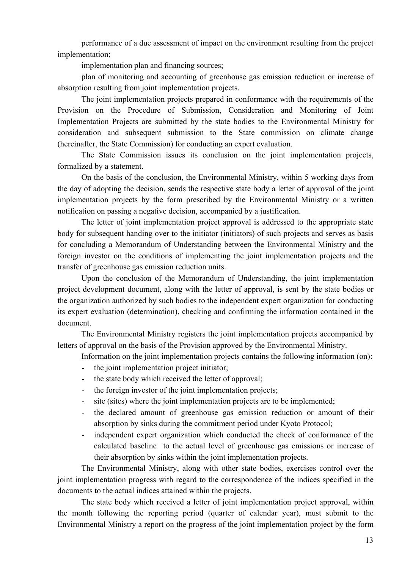performance of a due assessment of impact on the environment resulting from the project implementation;

implementation plan and financing sources;

plan of monitoring and accounting of greenhouse gas emission reduction or increase of absorption resulting from joint implementation projects.

The joint implementation projects prepared in conformance with the requirements of the Provision on the Procedure of Submission, Consideration and Monitoring of Joint Implementation Projects are submitted by the state bodies to the Environmental Ministry for consideration and subsequent submission to the State commission on climate change (hereinafter, the State Commission) for conducting an expert evaluation.

The State Commission issues its conclusion on the joint implementation projects, formalized by a statement.

On the basis of the conclusion, the Environmental Ministry, within 5 working days from the day of adopting the decision, sends the respective state body a letter of approval of the joint implementation projects by the form prescribed by the Environmental Ministry or a written notification on passing a negative decision, accompanied by a justification.

The letter of joint implementation project approval is addressed to the appropriate state body for subsequent handing over to the initiator (initiators) of such projects and serves as basis for concluding a Memorandum of Understanding between the Environmental Ministry and the foreign investor on the conditions of implementing the joint implementation projects and the transfer of greenhouse gas emission reduction units.

Upon the conclusion of the Memorandum of Understanding, the joint implementation project development document, along with the letter of approval, is sent by the state bodies or the organization authorized by such bodies to the independent expert organization for conducting its expert evaluation (determination), checking and confirming the information contained in the document.

The Environmental Ministry registers the joint implementation projects accompanied by letters of approval on the basis of the Provision approved by the Environmental Ministry.

Information on the joint implementation projects contains the following information (on):

- the joint implementation project initiator;
- the state body which received the letter of approval;
- the foreign investor of the joint implementation projects;
- site (sites) where the joint implementation projects are to be implemented;
- the declared amount of greenhouse gas emission reduction or amount of their absorption by sinks during the commitment period under Kyoto Protocol;
- independent expert organization which conducted the check of conformance of the calculated baseline to the actual level of greenhouse gas emissions or increase of their absorption by sinks within the joint implementation projects.

The Environmental Ministry, along with other state bodies, exercises control over the joint implementation progress with regard to the correspondence of the indices specified in the documents to the actual indices attained within the projects.

The state body which received a letter of joint implementation project approval, within the month following the reporting period (quarter of calendar year), must submit to the Environmental Ministry a report on the progress of the joint implementation project by the form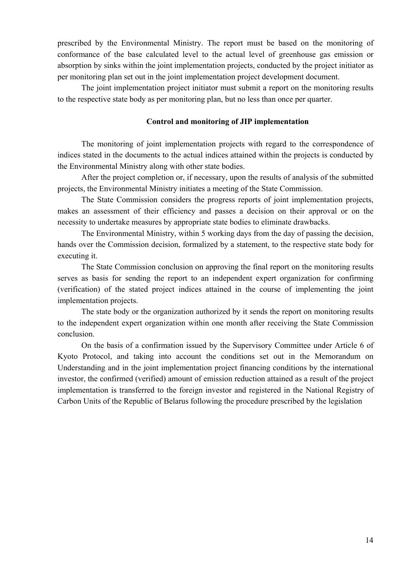prescribed by the Environmental Ministry. The report must be based on the monitoring of conformance of the base calculated level to the actual level of greenhouse gas emission or absorption by sinks within the joint implementation projects, conducted by the project initiator as per monitoring plan set out in the joint implementation project development document.

The joint implementation project initiator must submit a report on the monitoring results to the respective state body as per monitoring plan, but no less than once per quarter.

### **Control and monitoring of JIP implementation**

The monitoring of joint implementation projects with regard to the correspondence of indices stated in the documents to the actual indices attained within the projects is conducted by the Environmental Ministry along with other state bodies.

After the project completion or, if necessary, upon the results of analysis of the submitted projects, the Environmental Ministry initiates a meeting of the State Commission.

The State Commission considers the progress reports of joint implementation projects, makes an assessment of their efficiency and passes a decision on their approval or on the necessity to undertake measures by appropriate state bodies to eliminate drawbacks.

The Environmental Ministry, within 5 working days from the day of passing the decision, hands over the Commission decision, formalized by a statement, to the respective state body for executing it.

The State Commission conclusion on approving the final report on the monitoring results serves as basis for sending the report to an independent expert organization for confirming (verification) of the stated project indices attained in the course of implementing the joint implementation projects.

The state body or the organization authorized by it sends the report on monitoring results to the independent expert organization within one month after receiving the State Commission conclusion.

On the basis of a confirmation issued by the Supervisory Committee under Article 6 of Kyoto Protocol, and taking into account the conditions set out in the Memorandum on Understanding and in the joint implementation project financing conditions by the international investor, the confirmed (verified) amount of emission reduction attained as a result of the project implementation is transferred to the foreign investor and registered in the National Registry of Carbon Units of the Republic of Belarus following the procedure prescribed by the legislation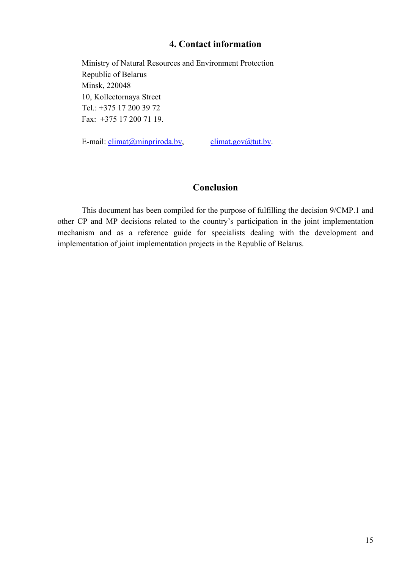### **4. Contact information**

Ministry of Natural Resources and Environment Protection Republic of Belarus Minsk, 220048 10, Kollectornaya Street Tel.: +375 17 200 39 72 Fax: +375 17 200 71 19.

E-mail:  $\text{elimat}(\text{a})$  minpriroda.by, climat.gov $\text{a}$  tut.by.

## **Conclusion**

This document has been compiled for the purpose of fulfilling the decision 9/СМР.1 and other CP and MP decisions related to the country's participation in the joint implementation mechanism and as a reference guide for specialists dealing with the development and implementation of joint implementation projects in the Republic of Belarus.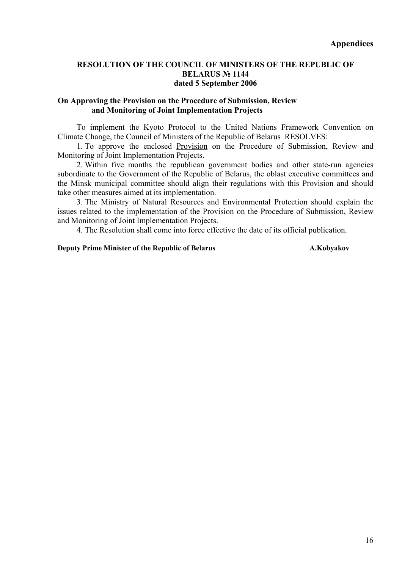### **RESOLUTION OF THE COUNCIL OF MINISTERS OF THE REPUBLIC OF BELARUS № 1144 dated 5 September 2006**

### **On Approving the Provision on the Procedure of Submission, Review and Monitoring of Joint Implementation Projects**

To implement the Kyoto Protocol to the United Nations Framework Convention on Climate Change, the Council of Ministers of the Republic of Belarus RESOLVES:

1. To approve the enclosed Provision on the Procedure of Submission, Review and Monitoring of Joint Implementation Projects.

2. Within five months the republican government bodies and other state-run agencies subordinate to the Government of the Republic of Belarus, the oblast executive committees and the Minsk municipal committee should align their regulations with this Provision and should take other measures aimed at its implementation.

3. The Ministry of Natural Resources and Environmental Protection should explain the issues related to the implementation of the Provision on the Procedure of Submission, Review and Monitoring of Joint Implementation Projects.

4. The Resolution shall come into force effective the date of its official publication.

#### **Deputy Prime Minister of the Republic of Belarus Theorem A.Kobyakov**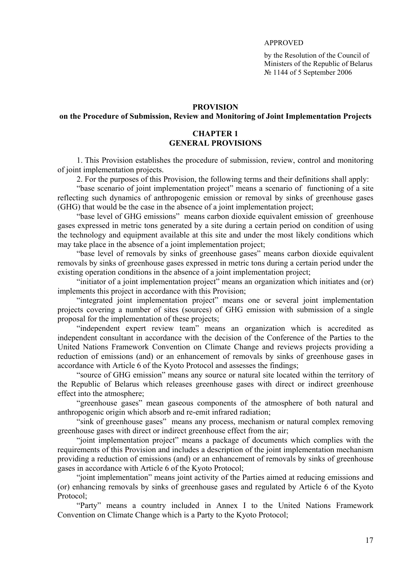#### APPROVED

by the Resolution of the Council of Ministers of the Republic of Belarus № 1144 of 5 September 2006

#### **PROVISION**

### **on the Procedure of Submission, Review and Monitoring of Joint Implementation Projects**

### **CHAPTER 1 GENERAL PROVISIONS**

1. This Provision establishes the procedure of submission, review, control and monitoring of joint implementation projects.

2. For the purposes of this Provision, the following terms and their definitions shall apply:

"base scenario of joint implementation project" means a scenario of functioning of a site reflecting such dynamics of anthropogenic emission or removal by sinks of greenhouse gases (GHG) that would be the case in the absence of a joint implementation project;

"base level of GHG emissions" means carbon dioxide equivalent emission of greenhouse gases expressed in metric tons generated by a site during a certain period on condition of using the technology and equipment available at this site and under the most likely conditions which may take place in the absence of a joint implementation project;

"base level of removals by sinks of greenhouse gases" means carbon dioxide equivalent removals by sinks of greenhouse gases expressed in metric tons during a certain period under the existing operation conditions in the absence of a joint implementation project;

"initiator of a joint implementation project" means an organization which initiates and (or) implements this project in accordance with this Provision;

"integrated joint implementation project" means one or several joint implementation projects covering a number of sites (sources) of GHG emission with submission of a single proposal for the implementation of these projects;

"independent expert review team" means an organization which is accredited as independent consultant in accordance with the decision of the Conference of the Parties to the United Nations Framework Convention on Climate Change and reviews projects providing a reduction of emissions (and) or an enhancement of removals by sinks of greenhouse gases in accordance with Article 6 of the Kyoto Protocol and assesses the findings;

"source of GHG emission" means any source or natural site located within the territory of the Republic of Belarus which releases greenhouse gases with direct or indirect greenhouse effect into the atmosphere;

"greenhouse gases" mean gaseous components of the atmosphere of both natural and anthropogenic origin which absorb and re-emit infrared radiation;

"sink of greenhouse gases" means any process, mechanism or natural complex removing greenhouse gases with direct or indirect greenhouse effect from the air;

"joint implementation project" means a package of documents which complies with the requirements of this Provision and includes a description of the joint implementation mechanism providing a reduction of emissions (and) or an enhancement of removals by sinks of greenhouse gases in accordance with Article 6 of the Kyoto Protocol;

"joint implementation" means joint activity of the Parties aimed at reducing emissions and (or) enhancing removals by sinks of greenhouse gases and regulated by Article 6 of the Kyoto Protocol;

"Party" means a country included in Annex I to the United Nations Framework Convention on Climate Change which is a Party to the Kyoto Protocol;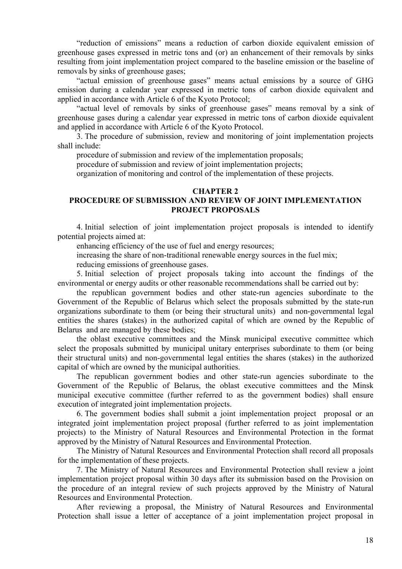"reduction of emissions" means a reduction of carbon dioxide equivalent emission of greenhouse gases expressed in metric tons and (or) an enhancement of their removals by sinks resulting from joint implementation project compared to the baseline emission or the baseline of removals by sinks of greenhouse gases;

"actual emission of greenhouse gases" means actual emissions by a source of GHG emission during a calendar year expressed in metric tons of carbon dioxide equivalent and applied in accordance with Article 6 of the Kyoto Protocol;

"actual level of removals by sinks of greenhouse gases" means removal by a sink of greenhouse gases during a calendar year expressed in metric tons of carbon dioxide equivalent and applied in accordance with Article 6 of the Kyoto Protocol.

3. The procedure of submission, review and monitoring of joint implementation projects shall include:

procedure of submission and review of the implementation proposals;

procedure of submission and review of joint implementation projects;

organization of monitoring and control of the implementation of these projects.

#### **CHAPTER 2**

### **PROCEDURE OF SUBMISSION AND REVIEW OF JOINT IMPLEMENTATION PROJECT PROPOSALS**

4. Initial selection of joint implementation project proposals is intended to identify potential projects aimed at:

enhancing efficiency of the use of fuel and energy resources;

increasing the share of non-traditional renewable energy sources in the fuel mix;

reducing emissions of greenhouse gases.

5. Initial selection of project proposals taking into account the findings of the environmental or energy audits or other reasonable recommendations shall be carried out by:

the republican government bodies and other state-run agencies subordinate to the Government of the Republic of Belarus which select the proposals submitted by the state-run organizations subordinate to them (or being their structural units) and non-governmental legal entities the shares (stakes) in the authorized capital of which are owned by the Republic of Belarus and are managed by these bodies;

the oblast executive committees and the Minsk municipal executive committee which select the proposals submitted by municipal unitary enterprises subordinate to them (or being their structural units) and non-governmental legal entities the shares (stakes) in the authorized capital of which are owned by the municipal authorities.

The republican government bodies and other state-run agencies subordinate to the Government of the Republic of Belarus, the oblast executive committees and the Minsk municipal executive committee (further referred to as the government bodies) shall ensure execution of integrated joint implementation projects.

6. The government bodies shall submit a joint implementation project proposal or an integrated joint implementation project proposal (further referred to as joint implementation projects) to the Ministry of Natural Resources and Environmental Protection in the format approved by the Ministry of Natural Resources and Environmental Protection.

The Ministry of Natural Resources and Environmental Protection shall record all proposals for the implementation of these projects.

7. The Ministry of Natural Resources and Environmental Protection shall review a joint implementation project proposal within 30 days after its submission based on the Provision on the procedure of an integral review of such projects approved by the Ministry of Natural Resources and Environmental Protection.

After reviewing a proposal, the Ministry of Natural Resources and Environmental Protection shall issue a letter of acceptance of a joint implementation project proposal in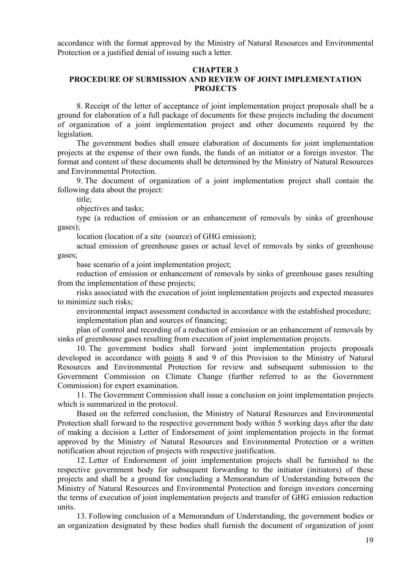accordance with the format approved by the Ministry of Natural Resources and Environmental Protection or a justified denial of issuing such a letter.

#### **CHAPTER 3**

### **PROCEDURE OF SUBMISSION AND REVIEW OF JOINT IMPLEMENTATION PROJECTS**

8. Receipt of the letter of acceptance of joint implementation project proposals shall be a ground for elaboration of a full package of documents for these projects including the document of organization of a joint implementation project and other documents required by the legislation.

The government bodies shall ensure elaboration of documents for joint implementation projects at the expense of their own funds, the funds of an initiator or a foreign investor. The format and content of these documents shall be determined by the Ministry of Natural Resources and Environmental Protection.

9. The document of organization of a joint implementation project shall contain the following data about the project:

title<sup>:</sup>

objectives and tasks;

type (a reduction of emission or an enhancement of removals by sinks of greenhouse gases);

location (location of a site (source) of GHG emission);

actual emission of greenhouse gases or actual level of removals by sinks of greenhouse gases;

base scenario of a joint implementation project;

reduction of emission or enhancement of removals by sinks of greenhouse gases resulting from the implementation of these projects;

risks associated with the execution of joint implementation projects and expected measures to minimize such risks;

environmental impact assessment conducted in accordance with the established procedure; implementation plan and sources of financing;

plan of control and recording of a reduction of emission or an enhancement of removals by sinks of greenhouse gases resulting from execution of joint implementation projects.

10. The government bodies shall forward joint implementation projects proposals developed in accordance with points 8 and 9 of this Provision to the Ministry of Natural Resources and Environmental Protection for review and subsequent submission to the Government Commission on Climate Change (further referred to as the Government Commission) for expert examination.

11. The Government Commission shall issue a conclusion on joint implementation projects which is summarized in the protocol.

Based on the referred conclusion, the Ministry of Natural Resources and Environmental Protection shall forward to the respective government body within 5 working days after the date of making a decision a Letter of Endorsement of joint implementation projects in the format approved by the Ministry of Natural Resources and Environmental Protection or a written notification about rejection of projects with respective justification.

12. Letter of Endorsement of joint implementation projects shall be furnished to the respective government body for subsequent forwarding to the initiator (initiators) of these projects and shall be a ground for concluding a Memorandum of Understanding between the Ministry of Natural Resources and Environmental Protection and foreign investors concerning the terms of execution of joint implementation projects and transfer of GHG emission reduction units.

13. Following conclusion of a Memorandum of Understanding, the government bodies or an organization designated by these bodies shall furnish the document of organization of joint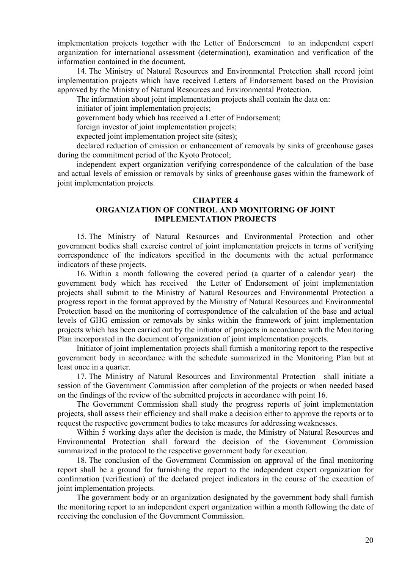implementation projects together with the Letter of Endorsement to an independent expert organization for international assessment (determination), examination and verification of the information contained in the document.

14. The Ministry of Natural Resources and Environmental Protection shall record joint implementation projects which have received Letters of Endorsement based on the Provision approved by the Ministry of Natural Resources and Environmental Protection.

The information about joint implementation projects shall contain the data on:

initiator of joint implementation projects;

government body which has received a Letter of Endorsement;

foreign investor of joint implementation projects;

expected joint implementation project site (sites);

declared reduction of emission or enhancement of removals by sinks of greenhouse gases during the commitment period of the Kyoto Protocol;

independent expert organization verifying correspondence of the calculation of the base and actual levels of emission or removals by sinks of greenhouse gases within the framework of joint implementation projects.

#### **CHAPTER 4**

### **ORGANIZATION OF CONTROL AND MONITORING OF JOINT IMPLEMENTATION PROJECTS**

15. The Ministry of Natural Resources and Environmental Protection and other government bodies shall exercise control of joint implementation projects in terms of verifying correspondence of the indicators specified in the documents with the actual performance indicators of these projects.

16. Within a month following the covered period (a quarter of a calendar year) the government body which has received the Letter of Endorsement of joint implementation projects shall submit to the Ministry of Natural Resources and Environmental Protection a progress report in the format approved by the Ministry of Natural Resources and Environmental Protection based on the monitoring of correspondence of the calculation of the base and actual levels of GHG emission or removals by sinks within the framework of joint implementation projects which has been carried out by the initiator of projects in accordance with the Monitoring Plan incorporated in the document of organization of joint implementation projects.

Initiator of joint implementation projects shall furnish a monitoring report to the respective government body in accordance with the schedule summarized in the Monitoring Plan but at least once in a quarter.

17. The Ministry of Natural Resources and Environmental Protection shall initiate a session of the Government Commission after completion of the projects or when needed based on the findings of the review of the submitted projects in accordance with point 16.

The Government Commission shall study the progress reports of joint implementation projects, shall assess their efficiency and shall make a decision either to approve the reports or to request the respective government bodies to take measures for addressing weaknesses.

Within 5 working days after the decision is made, the Ministry of Natural Resources and Environmental Protection shall forward the decision of the Government Commission summarized in the protocol to the respective government body for execution.

18. The conclusion of the Government Commission on approval of the final monitoring report shall be a ground for furnishing the report to the independent expert organization for confirmation (verification) of the declared project indicators in the course of the execution of joint implementation projects.

The government body or an organization designated by the government body shall furnish the monitoring report to an independent expert organization within a month following the date of receiving the conclusion of the Government Commission.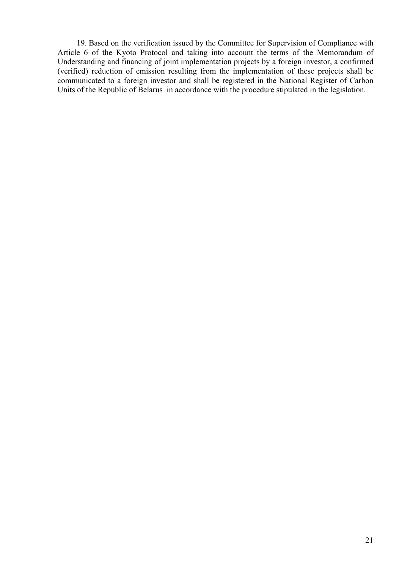19. Based on the verification issued by the Committee for Supervision of Compliance with Article 6 of the Kyoto Protocol and taking into account the terms of the Memorandum of Understanding and financing of joint implementation projects by a foreign investor, a confirmed (verified) reduction of emission resulting from the implementation of these projects shall be communicated to a foreign investor and shall be registered in the National Register of Carbon Units of the Republic of Belarus in accordance with the procedure stipulated in the legislation.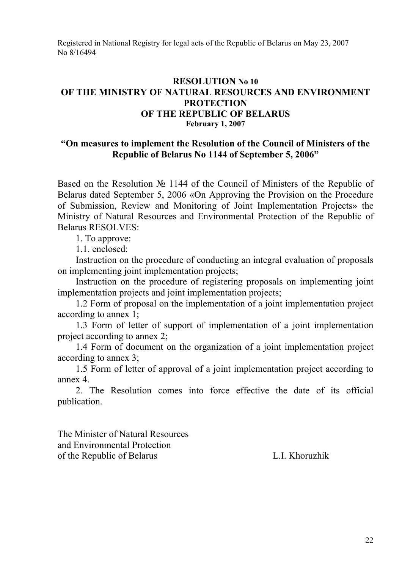Registered in National Registry for legal acts of the Republic of Belarus on May 23, 2007 No 8/16494

## **RESOLUTION No 10 OF THE MINISTRY OF NATURAL RESOURCES AND ENVIRONMENT PROTECTION OF THE REPUBLIC OF BELARUS February 1, 2007**

## **"On measures to implement the Resolution of the Council of Ministers of the Republic of Belarus No 1144 of September 5, 2006"**

Based on the Resolution № 1144 of the Council of Ministers of the Republic of Belarus dated September 5, 2006 «On Approving the Provision on the Procedure of Submission, Review and Monitoring of Joint Implementation Projects» the Ministry of Natural Resources and Environmental Protection of the Republic of Belarus RESOLVES:

1. To approve:

1.1. enclosed:

Instruction on the procedure of conducting an integral evaluation of proposals on implementing joint implementation projects;

Instruction on the procedure of registering proposals on implementing joint implementation projects and joint implementation projects;

1.2 Form of proposal on the implementation of a joint implementation project according to annex 1;

1.3 Form of letter of support of implementation of a joint implementation project according to annex 2;

1.4 Form of document on the organization of a joint implementation project according to annex 3;

1.5 Form of letter of approval of a joint implementation project according to annex 4.

2. The Resolution comes into force effective the date of its official publication.

The Minister of Natural Resources and Environmental Protection of the Republic of Belarus L.I. Khoruzhik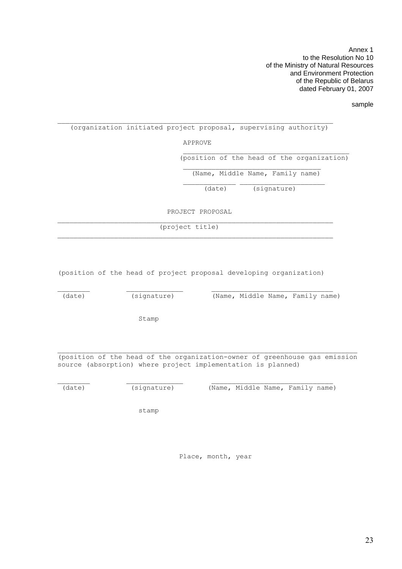Annex 1 to the Resolution No 10 of the Ministry of Natural Resources and Environment Protection of the Republic of Belarus dated February 01, 2007

sample

#### $\mathcal{L}_\text{max}$ (organization initiated project proposal, supervising authority)

APPROVE

 $\frac{1}{\sqrt{2}}$  ,  $\frac{1}{\sqrt{2}}$  ,  $\frac{1}{\sqrt{2}}$  ,  $\frac{1}{\sqrt{2}}$  ,  $\frac{1}{\sqrt{2}}$  ,  $\frac{1}{\sqrt{2}}$  ,  $\frac{1}{\sqrt{2}}$  ,  $\frac{1}{\sqrt{2}}$  ,  $\frac{1}{\sqrt{2}}$  ,  $\frac{1}{\sqrt{2}}$  ,  $\frac{1}{\sqrt{2}}$  ,  $\frac{1}{\sqrt{2}}$  ,  $\frac{1}{\sqrt{2}}$  ,  $\frac{1}{\sqrt{2}}$  ,  $\frac{1}{\sqrt{2}}$ 

 $\_$ 

(position of the head of the organization)

(Name, Middle Name, Family name)

(date) (signature)

PROJECT PROPOSAL

 $\_$  , and the set of the set of the set of the set of the set of the set of the set of the set of the set of the set of the set of the set of the set of the set of the set of the set of the set of the set of the set of th

(project title)

(position of the head of project proposal developing organization)

(date) (signature) (Name, Middle Name, Family name)

Stamp

(position of the head of the organization-owner of greenhouse gas emission source (absorption) where project implementation is planned)

\_\_\_\_\_\_\_\_ \_\_\_\_\_\_\_\_\_\_\_\_\_\_ \_\_\_\_\_\_\_\_\_\_\_\_\_\_\_\_\_\_\_\_\_\_\_\_\_\_\_\_\_\_

(date) (signature) (Name, Middle Name, Family name)

stamp

Place, month, year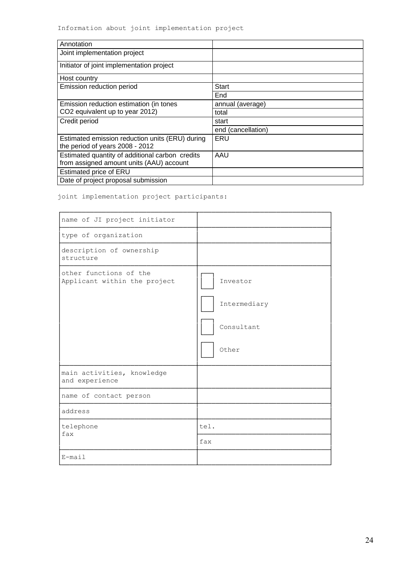| Annotation                                                                                  |                    |
|---------------------------------------------------------------------------------------------|--------------------|
| Joint implementation project                                                                |                    |
| Initiator of joint implementation project                                                   |                    |
| Host country                                                                                |                    |
| Emission reduction period                                                                   | Start              |
|                                                                                             | End                |
| Emission reduction estimation (in tones                                                     | annual (average)   |
| CO2 equivalent up to year 2012)                                                             | total              |
| Credit period                                                                               | start              |
|                                                                                             | end (cancellation) |
| Estimated emission reduction units (ERU) during<br>the period of years 2008 - 2012          | ERU                |
| Estimated quantity of additional carbon credits<br>from assigned amount units (AAU) account | AAU                |
| Estimated price of ERU                                                                      |                    |
| Date of project proposal submission                                                         |                    |

joint implementation project participants:

| name of JI project initiator                           |                                                 |
|--------------------------------------------------------|-------------------------------------------------|
| type of organization                                   |                                                 |
| description of ownership<br>structure                  |                                                 |
| other functions of the<br>Applicant within the project | Investor<br>Intermediary<br>Consultant<br>Other |
| main activities, knowledge<br>and experience           |                                                 |
| name of contact person                                 |                                                 |
| address                                                |                                                 |
| telephone<br>fax                                       | tel.                                            |
|                                                        | fax                                             |
| E-mail                                                 |                                                 |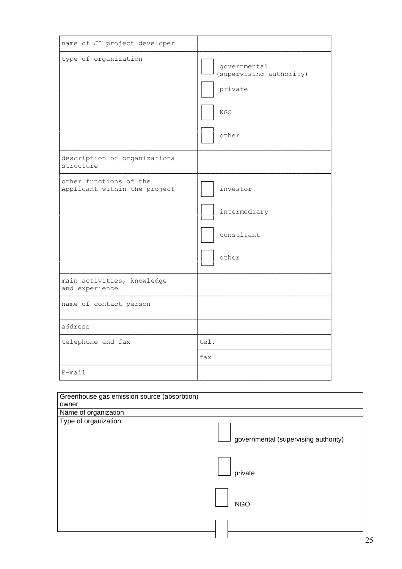| name of JI project developer                           |                                                                             |
|--------------------------------------------------------|-----------------------------------------------------------------------------|
| type of organization                                   | governmental<br>(supervising authority)<br>private<br>$_{\rm NGO}$<br>other |
| description of organizational<br>structure             |                                                                             |
| other functions of the<br>Applicant within the project | investor<br>intermediary<br>consultant<br>other                             |
| main activities, knowledge<br>and experience           |                                                                             |
| name of contact person                                 |                                                                             |
| address                                                |                                                                             |
| telephone and fax                                      | tel.                                                                        |
|                                                        | fax                                                                         |
| E-mail                                                 |                                                                             |

| Greenhouse gas emission source (absorbtion) |                                      |
|---------------------------------------------|--------------------------------------|
| owner                                       |                                      |
| Name of organization                        |                                      |
| Type of organization                        | governmental (supervising authority) |
|                                             | private                              |
|                                             | <b>NGO</b>                           |
|                                             |                                      |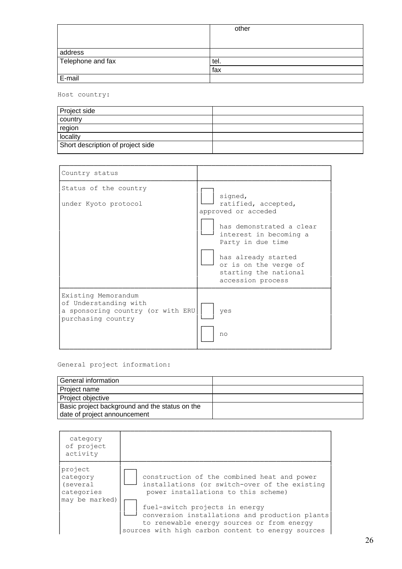|                   | other |
|-------------------|-------|
|                   |       |
| address           |       |
| Telephone and fax | tel.  |
|                   | fax   |
| E-mail            |       |

Host country:

| Project side                      |  |
|-----------------------------------|--|
| country                           |  |
| region                            |  |
| locality                          |  |
| Short description of project side |  |

| Country status                                                                                          |                                                                                                                                                                                                                                |
|---------------------------------------------------------------------------------------------------------|--------------------------------------------------------------------------------------------------------------------------------------------------------------------------------------------------------------------------------|
| Status of the country<br>under Kyoto protocol                                                           | signed,<br>ratified, accepted,<br>approved or acceded<br>has demonstrated a clear<br>interest in becoming a<br>Party in due time<br>has already started<br>or is on the verge of<br>starting the national<br>accession process |
| Existing Memorandum<br>of Understanding with<br>a sponsoring country (or with ERU<br>purchasing country | yes<br>no                                                                                                                                                                                                                      |

General project information:

| General information                            |  |
|------------------------------------------------|--|
| Project name                                   |  |
| Project objective                              |  |
| Basic project background and the status on the |  |
| date of project announcement                   |  |

| category<br>of project<br>activity            |                                                                                                                                                                                      |
|-----------------------------------------------|--------------------------------------------------------------------------------------------------------------------------------------------------------------------------------------|
| project<br>category<br>(several<br>categories | construction of the combined heat and power<br>installations (or switch-over of the existing<br>power installations to this scheme)                                                  |
| may be marked)                                | fuel-switch projects in energy<br>conversion installations and production plants<br>to renewable energy sources or from energy<br>sources with high carbon content to energy sources |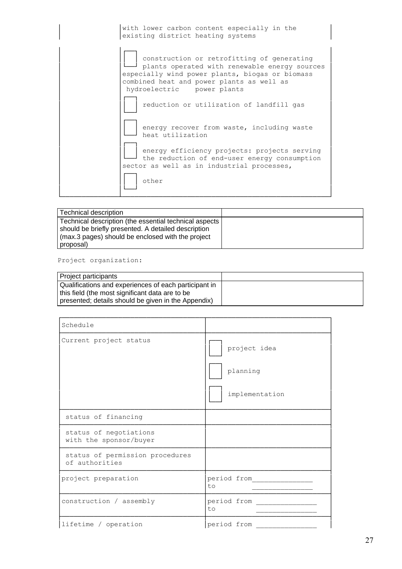| with lower carbon content especially in the │ existing district heating systems

│ │┌──┐ │ construction or retrofitting of generating plants operated with renewable energy sources especially wind power plants, biogas or biomass combined heat and power plants as well as hydroelectric power plants │ │┌──┐ │ reduction or utilization of landfill gas │ │└──┘ │ │ │┌──┐ │ energy recover from waste, including waste heat utilization │ │┌──┐ │ energy efficiency projects: projects serving the reduction of end-user energy consumption sector as well as in industrial processes, │ │┌──┐ │ │ ││ │ other │ │ │└──┘ │ └──────────────┴───────────────────────────────────────────────────┘

| Technical description                                                                                                                                              |  |
|--------------------------------------------------------------------------------------------------------------------------------------------------------------------|--|
| Technical description (the essential technical aspects<br>should be briefly presented. A detailed description<br>(max.3 pages) should be enclosed with the project |  |
| proposal)                                                                                                                                                          |  |

#### Project organization:

| Project participants                                                                                     |  |
|----------------------------------------------------------------------------------------------------------|--|
| Qualifications and experiences of each participant in<br>this field (the most significant data are to be |  |
| presented; details should be given in the Appendix)                                                      |  |

| Schedule                                          |                                            |
|---------------------------------------------------|--------------------------------------------|
| Current project status                            | project idea<br>planning<br>implementation |
| status of financing                               |                                            |
| status of negotiations<br>with the sponsor/buyer  |                                            |
| status of permission procedures<br>of authorities |                                            |
| project preparation                               | period from<br>t.o                         |
| construction / assembly                           | period from<br>t.o                         |
| lifetime / operation                              | period from                                |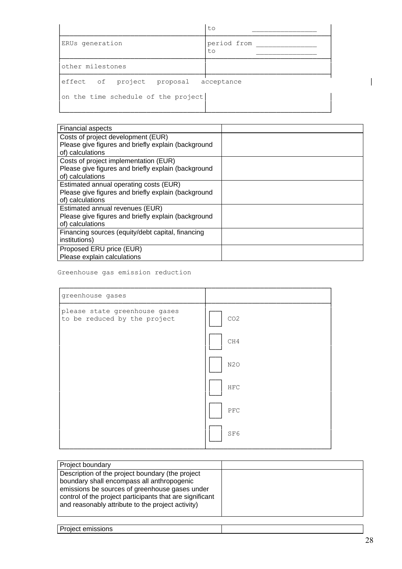|                                       | to                |  |
|---------------------------------------|-------------------|--|
| ERUs generation                       | period from<br>to |  |
| other milestones                      |                   |  |
| effect of project proposal acceptance |                   |  |
| on the time schedule of the project   |                   |  |

| <b>Financial aspects</b>                            |  |
|-----------------------------------------------------|--|
| Costs of project development (EUR)                  |  |
| Please give figures and briefly explain (background |  |
| of) calculations                                    |  |
| Costs of project implementation (EUR)               |  |
| Please give figures and briefly explain (background |  |
| of) calculations                                    |  |
| Estimated annual operating costs (EUR)              |  |
| Please give figures and briefly explain (background |  |
| of) calculations                                    |  |
| Estimated annual revenues (EUR)                     |  |
| Please give figures and briefly explain (background |  |
| of) calculations                                    |  |
| Financing sources (equity/debt capital, financing   |  |
| institutions)                                       |  |
| Proposed ERU price (EUR)                            |  |
| Please explain calculations                         |  |

### Greenhouse gas emission reduction

| greenhouse gases                                              |                  |
|---------------------------------------------------------------|------------------|
| please state greenhouse gases<br>to be reduced by the project | CO <sub>2</sub>  |
|                                                               | CH4              |
|                                                               | N <sub>2</sub> O |
|                                                               | ${\tt HFC}$      |
|                                                               | PFC              |
|                                                               | SF6              |

| Project boundary                                                                                                                                                                                                                                                  |  |
|-------------------------------------------------------------------------------------------------------------------------------------------------------------------------------------------------------------------------------------------------------------------|--|
| Description of the project boundary (the project<br>boundary shall encompass all anthropogenic<br>emissions be sources of greenhouse gases under<br>control of the project participants that are significant<br>and reasonably attribute to the project activity) |  |

|  | Project emissions |  |
|--|-------------------|--|
|  |                   |  |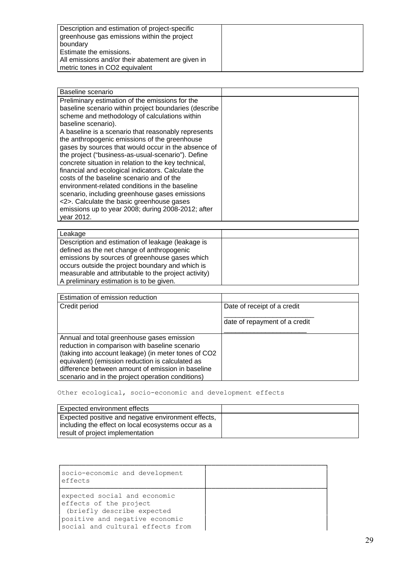| Description and estimation of project-specific<br>greenhouse gas emissions within the project |  |
|-----------------------------------------------------------------------------------------------|--|
| boundary                                                                                      |  |
| Estimate the emissions.                                                                       |  |
| All emissions and/or their abatement are given in                                             |  |
| metric tones in CO2 equivalent                                                                |  |

| Baseline scenario                                                                                                                                                                                                                                                                                                                                                                                                                                                                         |  |
|-------------------------------------------------------------------------------------------------------------------------------------------------------------------------------------------------------------------------------------------------------------------------------------------------------------------------------------------------------------------------------------------------------------------------------------------------------------------------------------------|--|
| Preliminary estimation of the emissions for the<br>baseline scenario within project boundaries (describe<br>scheme and methodology of calculations within<br>baseline scenario).<br>A baseline is a scenario that reasonably represents<br>the anthropogenic emissions of the greenhouse                                                                                                                                                                                                  |  |
| gases by sources that would occur in the absence of<br>the project ("business-as-usual-scenario"). Define<br>concrete situation in relation to the key technical,<br>financial and ecological indicators. Calculate the<br>costs of the baseline scenario and of the<br>environment-related conditions in the baseline<br>scenario, including greenhouse gases emissions<br><2>. Calculate the basic greenhouse gases<br>emissions up to year 2008; during 2008-2012; after<br>vear 2012. |  |

| Leakage                                              |  |
|------------------------------------------------------|--|
| Description and estimation of leakage (leakage is    |  |
| defined as the net change of anthropogenic           |  |
| emissions by sources of greenhouse gases which       |  |
| occurs outside the project boundary and which is     |  |
| measurable and attributable to the project activity) |  |
| A preliminary estimation is to be given.             |  |

| Estimation of emission reduction                                                                                                                                                                                                                                                                                   |                               |
|--------------------------------------------------------------------------------------------------------------------------------------------------------------------------------------------------------------------------------------------------------------------------------------------------------------------|-------------------------------|
| Credit period                                                                                                                                                                                                                                                                                                      | Date of receipt of a credit   |
|                                                                                                                                                                                                                                                                                                                    | date of repayment of a credit |
| Annual and total greenhouse gases emission<br>reduction in comparison with baseline scenario<br>(taking into account leakage) (in meter tones of CO2<br>equivalent) (emission reduction is calculated as<br>difference between amount of emission in baseline<br>scenario and in the project operation conditions) |                               |

Other ecological, socio-economic and development effects

| Expected environment effects                                                                               |  |
|------------------------------------------------------------------------------------------------------------|--|
| Expected positive and negative environment effects,<br>including the effect on local ecosystems occur as a |  |
| result of project implementation                                                                           |  |

| socio-economic and development<br>effects                                                                                                                  |  |
|------------------------------------------------------------------------------------------------------------------------------------------------------------|--|
| expected social and economic<br>effects of the project<br>(briefly describe expected<br>positive and negative economic<br>social and cultural effects from |  |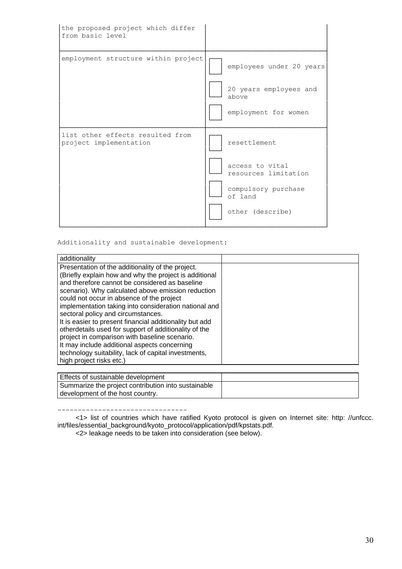| the proposed project which differ<br>from basic level      |                                                                                                               |
|------------------------------------------------------------|---------------------------------------------------------------------------------------------------------------|
| employment structure within project                        | employees under 20 years<br>20 years employees and<br>above<br>employment for women                           |
| list other effects resulted from<br>project implementation | resettlement<br>access to vital<br>resources limitation<br>compulsory purchase<br>of land<br>other (describe) |

Additionality and sustainable development:

| additionality                                                                                                                                                                                                                                                                                                                                                                                                                                                                                                                                                                                                                                                            |  |
|--------------------------------------------------------------------------------------------------------------------------------------------------------------------------------------------------------------------------------------------------------------------------------------------------------------------------------------------------------------------------------------------------------------------------------------------------------------------------------------------------------------------------------------------------------------------------------------------------------------------------------------------------------------------------|--|
| Presentation of the additionality of the project.<br>(Briefly explain how and why the project is additional<br>and therefore cannot be considered as baseline<br>scenario). Why calculated above emission reduction<br>could not occur in absence of the project<br>implementation taking into consideration national and<br>sectoral policy and circumstances.<br>It is easier to present financial additionality but add<br>otherdetails used for support of additionality of the<br>project in comparison with baseline scenario.<br>It may include additional aspects concerning<br>technology suitability, lack of capital investments,<br>high project risks etc.) |  |

| Effects of sustainable development                  |  |
|-----------------------------------------------------|--|
| Summarize the project contribution into sustainable |  |
| development of the host country.                    |  |

--------------------------------

<1> list of countries which have ratified Kyoto protocol is given on Internet site: http: //unfccc. int/files/essential\_background/kyoto\_protocol/application/pdf/kpstats.pdf.

<2> leakage needs to be taken into consideration (see below).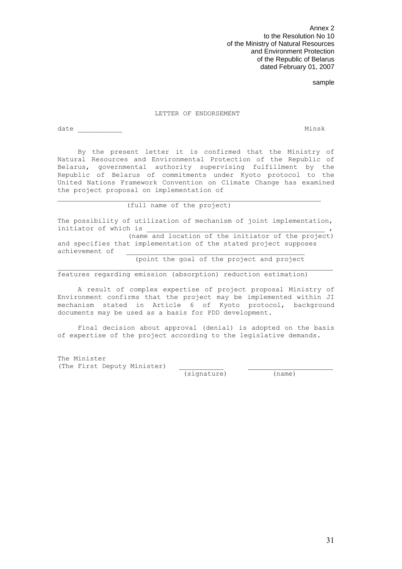Annex 2 to the Resolution No 10 of the Ministry of Natural Resources and Environment Protection of the Republic of Belarus dated February 01, 2007

sample

#### LETTER OF ENDORSEMENT

date Minsk and the Minsk method of the Minsk method of the Minsk method of the Minsk method of the Minsk method of the Minsk method of the Minsk method of the Minsk method of the Minsk method of the Minsk method of the Min

 By the present letter it is confirmed that the Ministry of Natural Resources and Environmental Protection of the Republic of Belarus, governmental authority supervising fulfillment by the Republic of Belarus of commitments under Kyoto protocol to the United Nations Framework Convention on Climate Change has examined the project proposal on implementation of

#### (full name of the project)

The possibility of utilization of mechanism of joint implementation, initiator of which is

 $\overline{\phantom{a}}$  , and the contribution of the contribution of the contribution of the contribution of  $\overline{\phantom{a}}$ 

(name and location of the initiator of the project) and specifies that implementation of the stated project supposes achievement of

 $\_$  , and the set of the set of the set of the set of the set of the set of the set of the set of the set of the set of the set of the set of the set of the set of the set of the set of the set of the set of the set of th

(point the goal of the project and project

features regarding emission (absorption) reduction estimation)

 A result of complex expertise of project proposal Ministry of Environment confirms that the project may be implemented within JI mechanism stated in Article 6 of Kyoto protocol, background documents may be used as a basis for PDD development.

 Final decision about approval (denial) is adopted on the basis of expertise of the project according to the legislative demands.

The Minister (The First Deputy Minister)

(signature) (name)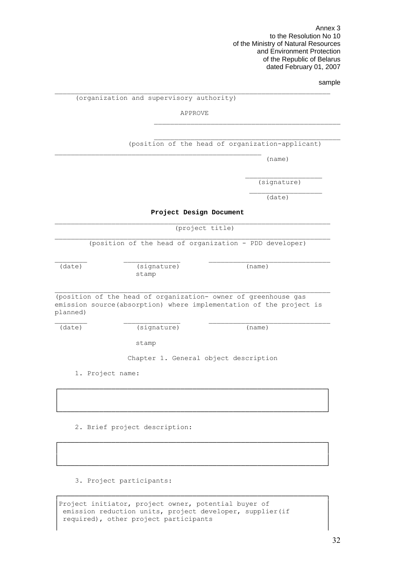Annex 3 to the Resolution No 10 of the Ministry of Natural Resources and Environment Protection of the Republic of Belarus dated February 01, 2007

#### sample

#### (organization and supervisory authority)

APPROVE

 $\Box$ 

(position of the head of organization-applicant)

\_\_\_\_\_\_\_\_\_\_\_\_\_\_\_\_\_\_\_\_\_\_\_\_\_\_\_\_\_\_\_\_\_\_\_\_\_\_\_\_\_\_\_\_\_\_

(name)

(signature)

(date)

**Project Design Document** 

 $\mathcal{L}_\text{max}$  , we can assume that the contract of  $\mathcal{L}_\text{max}$  . The contract of  $\mathcal{L}_\text{max}$ 

 $\mathcal{L}_\text{max}$ 

#### (project title)

 $\Box$ (position of the head of organization - PDD developer)

 $\mathcal{L}_\text{max}$ 

(date) (signature) (name)

stamp

(position of the head of organization- owner of greenhouse gas emission source(absorption) where implementation of the project is planned)

\_\_\_\_\_\_\_\_ \_\_\_\_\_\_\_\_\_\_\_\_\_\_ \_\_\_\_\_\_\_\_\_\_\_\_\_\_\_\_\_\_\_\_\_\_\_\_\_\_\_\_\_\_

┌──────────────────────────────────────────────────────────────────┐ │ │ │ │ └──────────────────────────────────────────────────────────────────┘

┌──────────────────────────────────────────────────────────────────┐ │ │ │ │ └──────────────────────────────────────────────────────────────────┘

┌──────────────────────────────────────────────────────────────────┐

│ │

(date) (signature) (name)

stamp

Chapter 1. General object description

1. Project name:

2. Brief project description:

3. Project participants:

| Project initiator, project owner, potential buyer of      |  |
|-----------------------------------------------------------|--|
| emission reduction units, project developer, supplier (if |  |
| required), other project participants                     |  |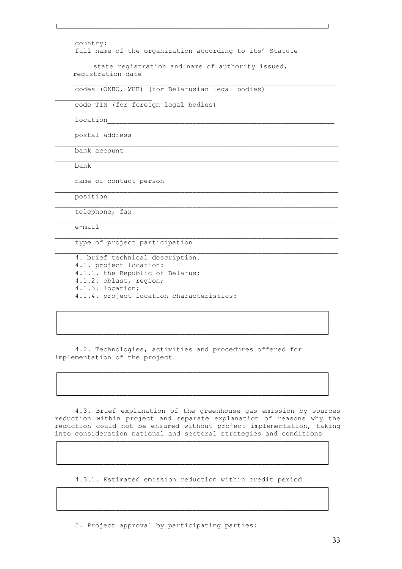```
 country: 
full name of the organization according to its' Statute
```
└──────────────────────────────────────────────────────────────────┘

 $\Box$ 

 $\Box$ 

 $\mathcal{L}_\text{max}$ 

 $\Box$ 

 $\Box$ 

 $\mathcal{L}_\text{max}$ 

┌──────────────────────────────────────────────────────────────────┐ │ │ │ │ └──────────────────────────────────────────────────────────────────┘

┌──────────────────────────────────────────────────────────────────┐ │ │ │ │ └──────────────────────────────────────────────────────────────────┘

 state registration and name of authority issued, registration date

codes (ОКПО, УНП) (for Belarusian legal bodies)

code TIN (for foreign legal bodies)

location

postal address

 $\mathcal{L}_\text{max}$ 

bank account

bank

name of contact person

position

telephone, fax

e-mail

type of project participation

 4. brief technical description. 4.1. project location: 4.1.1. the Republic of Belarus; 4.1.2. oblast, region; 4.1.3. location; 4.1.4. project location characteristics:

 4.2. Technologies, activities and procedures offered for implementation of the project

 4.3. Brief explanation of the greenhouse gas emission by sources reduction within project and separate explanation of reasons why the reduction could not be ensured without project implementation, taking into consideration national and sectoral strategies and conditions

┌──────────────────────────────────────────────────────────────────┐ │ │ │ │ └──────────────────────────────────────────────────────────────────┘

 4.3.1. Estimated emission reduction within credit period ┌──────────────────────────────────────────────────────────────────┐

│ │ │ │ └──────────────────────────────────────────────────────────────────┘

5. Project approval by participating parties: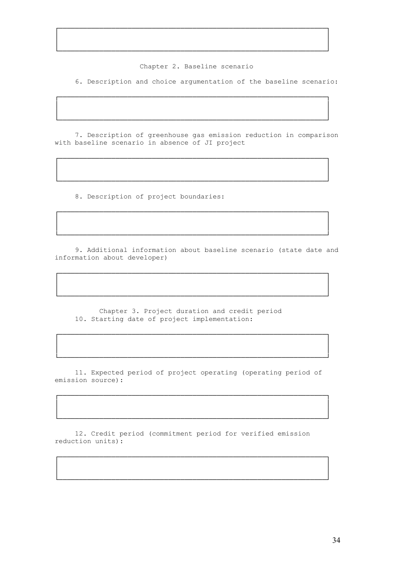Chapter 2. Baseline scenario

┌──────────────────────────────────────────────────────────────────┐ │ │ │ │ └──────────────────────────────────────────────────────────────────┘

┌──────────────────────────────────────────────────────────────────┐ │ │ │ │ └──────────────────────────────────────────────────────────────────┘

6. Description and choice argumentation of the baseline scenario:

 7. Description of greenhouse gas emission reduction in comparison with baseline scenario in absence of JI project

┌──────────────────────────────────────────────────────────────────┐ │ │ │ │ └──────────────────────────────────────────────────────────────────┘

┌──────────────────────────────────────────────────────────────────┐ │ │ │ │ └──────────────────────────────────────────────────────────────────┘

8. Description of project boundaries:

 9. Additional information about baseline scenario (state date and information about developer)

┌──────────────────────────────────────────────────────────────────┐ │ │ │ │ └──────────────────────────────────────────────────────────────────┘

 Chapter 3. Project duration and credit period 10. Starting date of project implementation:

 11. Expected period of project operating (operating period of emission source):

┌──────────────────────────────────────────────────────────────────┐ │ │ │ │ └──────────────────────────────────────────────────────────────────┘

┌──────────────────────────────────────────────────────────────────┐ │ │ │ │ └──────────────────────────────────────────────────────────────────┘

┌──────────────────────────────────────────────────────────────────┐ │ │ │ │ └──────────────────────────────────────────────────────────────────┘

 12. Credit period (commitment period for verified emission reduction units):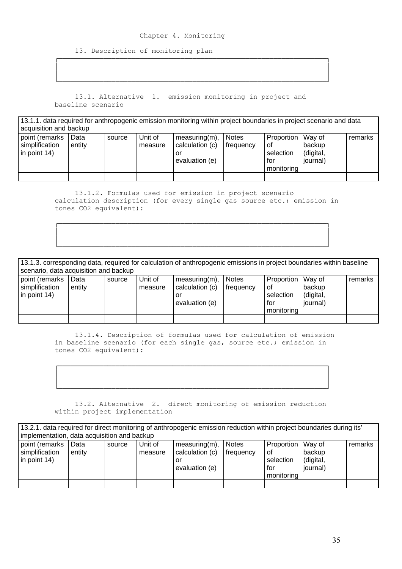#### Chapter 4. Monitoring

┌──────────────────────────────────────────────────────────────────┐ │ │ │ │ └──────────────────────────────────────────────────────────────────┘

13. Description of monitoring plan

 13.1. Alternative 1. emission monitoring in project and baseline scenario

| 13.1.1. data required for anthropogenic emission monitoring within project boundaries in project scenario and data<br>acquisition and backup |                |        |                    |                                                             |                           |                                                             |                                         |         |
|----------------------------------------------------------------------------------------------------------------------------------------------|----------------|--------|--------------------|-------------------------------------------------------------|---------------------------|-------------------------------------------------------------|-----------------------------------------|---------|
| point (remarks<br>simplification<br>$\ln$ point 14)                                                                                          | Data<br>entity | source | Unit of<br>measure | $measuring(m)$ ,<br>calculation (c)<br>or<br>evaluation (e) | <b>Notes</b><br>frequency | Proportion   Way of<br>0f<br>selection<br>for<br>monitoring | backup<br>(digital,<br><i>iournal</i> ) | remarks |
|                                                                                                                                              |                |        |                    |                                                             |                           |                                                             |                                         |         |

 13.1.2. Formulas used for emission in project scenario calculation description (for every single gas source etc.; emission in tones CO2 equivalent):

┌──────────────────────────────────────────────────────────────────┐ │ │ │ │ └──────────────────────────────────────────────────────────────────┘

| 13.1.3. corresponding data, required for calculation of anthropogenic emissions in project boundaries within baseline<br>scenario, data acquisition and backup |                |        |                    |                                                             |                    |                                                               |                                 |         |
|----------------------------------------------------------------------------------------------------------------------------------------------------------------|----------------|--------|--------------------|-------------------------------------------------------------|--------------------|---------------------------------------------------------------|---------------------------------|---------|
| point (remarks<br>simplification<br>in point 14)                                                                                                               | Data<br>entity | source | Unit of<br>measure | $measuring(m)$ ,<br>calculation (c)<br>or<br>evaluation (e) | Notes<br>frequency | Proportion   Way of<br>. of<br>selection<br>for<br>monitorina | backup<br>(digital,<br>journal) | remarks |
|                                                                                                                                                                |                |        |                    |                                                             |                    |                                                               |                                 |         |

 13.1.4. Description of formulas used for calculation of emission in baseline scenario (for each single gas, source etc.; emission in tones CO2 equivalent):

 13.2. Alternative 2. direct monitoring of emission reduction within project implementation

| 13.2.1. data required for direct monitoring of anthropogenic emission reduction within project boundaries during its'<br>implementation, data acquisition and backup |                |        |                    |                                                             |                           |                                                             |                                 |         |
|----------------------------------------------------------------------------------------------------------------------------------------------------------------------|----------------|--------|--------------------|-------------------------------------------------------------|---------------------------|-------------------------------------------------------------|---------------------------------|---------|
| point (remarks<br>simplification<br>in point 14)                                                                                                                     | Data<br>entity | source | Unit of<br>measure | $measuring(m)$ ,<br>calculation (c)<br>or<br>evaluation (e) | <b>Notes</b><br>frequency | Proportion   Way of<br>οf<br>selection<br>for<br>monitoring | backup<br>(digital,<br>journal) | remarks |
|                                                                                                                                                                      |                |        |                    |                                                             |                           |                                                             |                                 |         |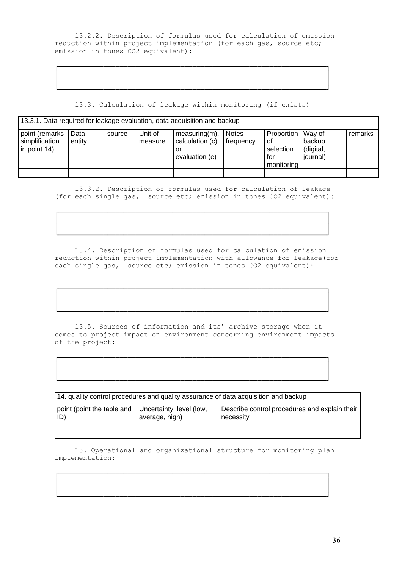13.2.2. Description of formulas used for calculation of emission reduction within project implementation (for each gas, source etc; emission in tones CO2 equivalent):

┌──────────────────────────────────────────────────────────────────┐ │ │ │ │ └──────────────────────────────────────────────────────────────────┘

13.3. Calculation of leakage within monitoring (if exists)

| 13.3.1. Data required for leakage evaluation, data acquisition and backup |                |        |                    |                                                             |                           |                                                             |                                 |         |
|---------------------------------------------------------------------------|----------------|--------|--------------------|-------------------------------------------------------------|---------------------------|-------------------------------------------------------------|---------------------------------|---------|
| point (remarks<br>simplification<br>$\ln$ point 14)                       | Data<br>entity | source | Unit of<br>measure | $measuring(m)$ ,<br>calculation (c)<br>or<br>evaluation (e) | <b>Notes</b><br>frequency | Proportion   Way of<br>οt<br>selection<br>tor<br>monitoring | backup<br>(digital,<br>iournal) | remarks |
|                                                                           |                |        |                    |                                                             |                           |                                                             |                                 |         |

 13.3.2. Description of formulas used for calculation of leakage (for each single gas, source etc; emission in tones CO2 equivalent):

┌──────────────────────────────────────────────────────────────────┐ │ │ │ │ └──────────────────────────────────────────────────────────────────┘

 13.4. Description of formulas used for calculation of emission reduction within project implementation with allowance for leakage(for each single gas, source etc; emission in tones CO2 equivalent):

┌──────────────────────────────────────────────────────────────────┐ │ │ │ │ └──────────────────────────────────────────────────────────────────┘

 13.5. Sources of information and its' archive storage when it comes to project impact on environment concerning environment impacts of the project:

┌──────────────────────────────────────────────────────────────────┐ │ │ │ │ └──────────────────────────────────────────────────────────────────┘

| 14. quality control procedures and quality assurance of data acquisition and backup |                                           |                                                            |  |  |  |  |  |  |  |  |
|-------------------------------------------------------------------------------------|-------------------------------------------|------------------------------------------------------------|--|--|--|--|--|--|--|--|
| point (point the table and<br>ı ID)                                                 | Uncertainty level (low,<br>average, high) | Describe control procedures and explain their<br>necessity |  |  |  |  |  |  |  |  |
|                                                                                     |                                           |                                                            |  |  |  |  |  |  |  |  |

 15. Operational and organizational structure for monitoring plan implementation:

┌──────────────────────────────────────────────────────────────────┐ │ │ │ │ └──────────────────────────────────────────────────────────────────┘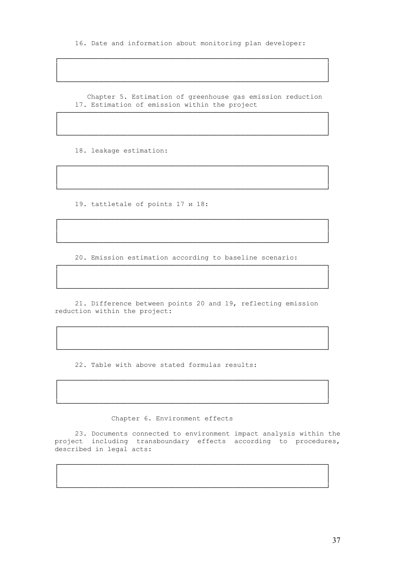16. Date and information about monitoring plan developer:

┌──────────────────────────────────────────────────────────────────┐ │ │ │ │ └──────────────────────────────────────────────────────────────────┘

 Chapter 5. Estimation of greenhouse gas emission reduction 17. Estimation of emission within the project

┌──────────────────────────────────────────────────────────────────┐ │ │ │ │ └──────────────────────────────────────────────────────────────────┘

┌──────────────────────────────────────────────────────────────────┐ │ │ │ │ └──────────────────────────────────────────────────────────────────┘

┌──────────────────────────────────────────────────────────────────┐ │ │ │ │ └──────────────────────────────────────────────────────────────────┘

18. leakage estimation:

19. tattletale of points 17 и 18:

20. Emission estimation according to baseline scenario:

┌──────────────────────────────────────────────────────────────────┐ │ │ │ │ └──────────────────────────────────────────────────────────────────┘

 21. Difference between points 20 and 19, reflecting emission reduction within the project:

┌──────────────────────────────────────────────────────────────────┐ │ │ │ │ └──────────────────────────────────────────────────────────────────┘

┌──────────────────────────────────────────────────────────────────┐ │ │ │ │ └──────────────────────────────────────────────────────────────────┘

22. Table with above stated formulas results:

Chapter 6. Environment effects

 23. Documents connected to environment impact analysis within the project including transboundary effects according to procedures, described in legal acts:

┌──────────────────────────────────────────────────────────────────┐ │ │ │ │ └──────────────────────────────────────────────────────────────────┘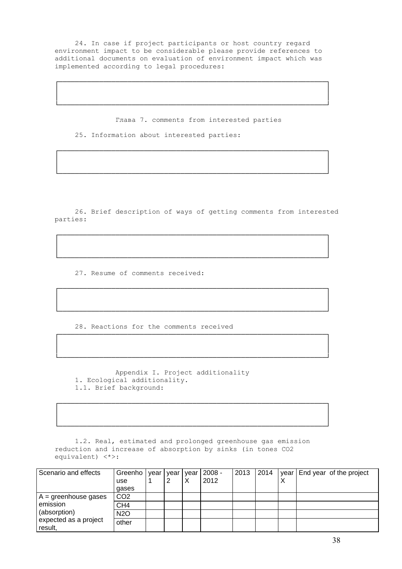24. In case if project participants or host country regard environment impact to be considerable please provide references to additional documents on evaluation of environment impact which was implemented according to legal procedures:

┌──────────────────────────────────────────────────────────────────┐ │ │ │ │ └──────────────────────────────────────────────────────────────────┘

Глава 7. comments from interested parties

┌──────────────────────────────────────────────────────────────────┐ │ │ │ │ └──────────────────────────────────────────────────────────────────┘

25. Information about interested parties:

 26. Brief description of ways of getting comments from interested parties:

┌──────────────────────────────────────────────────────────────────┐ │ │ │ │ └──────────────────────────────────────────────────────────────────┘

┌──────────────────────────────────────────────────────────────────┐ │ │ │ │ └──────────────────────────────────────────────────────────────────┘

┌──────────────────────────────────────────────────────────────────┐ │ │ │ │ └──────────────────────────────────────────────────────────────────┘

┌──────────────────────────────────────────────────────────────────┐ │ │ │ │ └──────────────────────────────────────────────────────────────────┘

27. Resume of comments received:

28. Reactions for the comments received

 Appendix I. Project additionality 1. Ecological additionality. 1.1. Brief background:

 1.2. Real, estimated and prolonged greenhouse gas emission reduction and increase of absorption by sinks (in tones CO2 equivalent) <\*>:

| Scenario and effects             | Greenho   year  <br>use<br>gases | vear | vear<br>↗ | $ 2008 -$<br>2012 | 2013 | 2014 | ⌒ | year End year of the project |
|----------------------------------|----------------------------------|------|-----------|-------------------|------|------|---|------------------------------|
| $A =$ greenhouse gases           | CO <sub>2</sub>                  |      |           |                   |      |      |   |                              |
| emission                         | CH <sub>4</sub>                  |      |           |                   |      |      |   |                              |
| (absorption)                     | N <sub>2</sub> O                 |      |           |                   |      |      |   |                              |
| expected as a project<br>result, | other                            |      |           |                   |      |      |   |                              |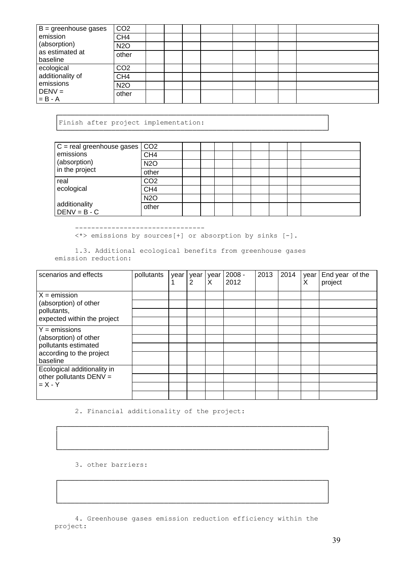| B = greenhouse gases                                                 | CO <sub>2</sub> |  |  |  |  |
|----------------------------------------------------------------------|-----------------|--|--|--|--|
| emission<br>(absorption)<br>as estimated at<br>baseline              | CH <sub>4</sub> |  |  |  |  |
|                                                                      | <b>N2O</b>      |  |  |  |  |
|                                                                      | other           |  |  |  |  |
| ecological<br>additionality of<br>emissions<br>$DENV =$<br>$= B - A$ | CO <sub>2</sub> |  |  |  |  |
|                                                                      | CH <sub>4</sub> |  |  |  |  |
|                                                                      | <b>N2O</b>      |  |  |  |  |
|                                                                      | other           |  |  |  |  |

┌──────────────────────────────────────────────────────────────────┐ Finish after project implementation:

| $C =$ real greenhouse gases $\vert CO2 \vert$<br>emissions<br>(absorption)<br>in the project |                 |  |  |  |  |
|----------------------------------------------------------------------------------------------|-----------------|--|--|--|--|
|                                                                                              | CH <sub>4</sub> |  |  |  |  |
|                                                                                              | <b>N2O</b>      |  |  |  |  |
|                                                                                              | other           |  |  |  |  |
| real<br>ecological                                                                           | CO <sub>2</sub> |  |  |  |  |
|                                                                                              | CH <sub>4</sub> |  |  |  |  |
| additionality<br>$DENV = B - C$                                                              | <b>N2O</b>      |  |  |  |  |
|                                                                                              | other           |  |  |  |  |

└──────────────────────────────────────────────────────────────────┘

--------------------------------

<\*> emissions by sources[+] or absorption by sinks [-].

 1.3. Additional ecological benefits from greenhouse gases emission reduction:

| scenarios and effects                                                                                    | pollutants | year | year  <br>2 | year<br>X | $2008 -$<br>2012 | 2013 | 2014 | year<br>х | End year of the<br>project |
|----------------------------------------------------------------------------------------------------------|------------|------|-------------|-----------|------------------|------|------|-----------|----------------------------|
| $X =$ emission<br>(absorption) of other<br>pollutants,<br>expected within the project                    |            |      |             |           |                  |      |      |           |                            |
| $Y =$ emissions<br>(absorption) of other<br>pollutants estimated<br>according to the project<br>baseline |            |      |             |           |                  |      |      |           |                            |
| Ecological additionality in<br>other pollutants DENV =<br>$= X - Y$                                      |            |      |             |           |                  |      |      |           |                            |

2. Financial additionality of the project:

3. other barriers:

 4. Greenhouse gases emission reduction efficiency within the project:

┌──────────────────────────────────────────────────────────────────┐ │ │ │ │ └──────────────────────────────────────────────────────────────────┘

┌──────────────────────────────────────────────────────────────────┐ │ │ │ │ └──────────────────────────────────────────────────────────────────┘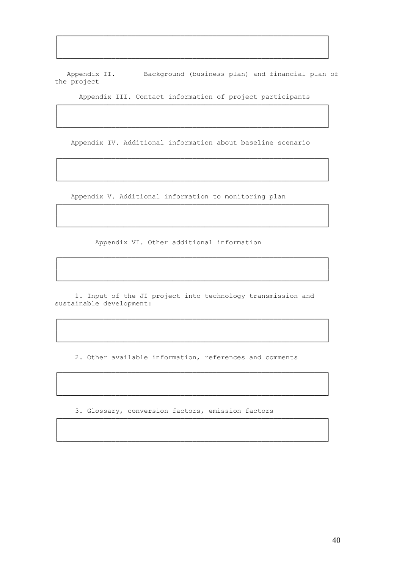Background (business plan) and financial plan of Appendix II. the project

Appendix III. Contact information of project participants

Appendix IV. Additional information about baseline scenario

Appendix V. Additional information to monitoring plan

Appendix VI. Other additional information

1. Input of the JI project into technology transmission and sustainable development:

2. Other available information, references and comments

3. Glossary, conversion factors, emission factors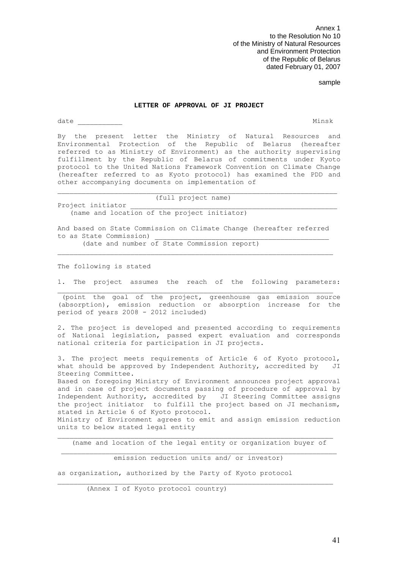Annex 1 to the Resolution No 10 of the Ministry of Natural Resources and Environment Protection of the Republic of Belarus dated February 01, 2007

#### sample

#### **LETTER OF APPROVAL OF JI PROJECT**

date \_\_\_\_\_\_\_\_\_\_\_ Minsk

By the present letter the Ministry of Natural Resources and Environmental Protection of the Republic of Belarus (hereafter referred to as Ministry of Environment) as the authority supervising fulfillment by the Republic of Belarus of commitments under Kyoto protocol to the United Nations Framework Convention on Climate Change (hereafter referred to as Kyoto protocol) has examined the PDD and other accompanying documents on implementation of

(full project name)

(name and location of the project initiator)

And based on State Commission on Climate Change (hereafter referred to as State Commission)

(date and number of State Commission report)

The following is stated

Project initiator

1. The project assumes the reach of the following parameters:  $\mathcal{L}_\text{max}$ 

 (point the goal of the project, greenhouse gas emission source (absorption), emission reduction or absorption increase for the period of years 2008 - 2012 included)

2. The project is developed and presented according to requirements of National legislation, passed expert evaluation and corresponds national criteria for participation in JI projects.

3. The project meets requirements of Article 6 of Kyoto protocol, what should be approved by Independent Authority, accredited by JI Steering Committee.

Based on foregoing Ministry of Environment announces project approval and in case of project documents passing of procedure of approval by Independent Authority, accredited by JI Steering Committee assigns the project initiator to fulfill the project based on JI mechanism, stated in Article 6 of Kyoto protocol.

Ministry of Environment agrees to emit and assign emission reduction units to below stated legal entity

 $\mathcal{L}_\text{max}$ (name and location of the legal entity or organization buyer of

emission reduction units and/ or investor)

 $\_$  , and the set of the set of the set of the set of the set of the set of the set of the set of the set of the set of the set of the set of the set of the set of the set of the set of the set of the set of the set of th

as organization, authorized by the Party of Kyoto protocol

(Annex I of Kyoto protocol country)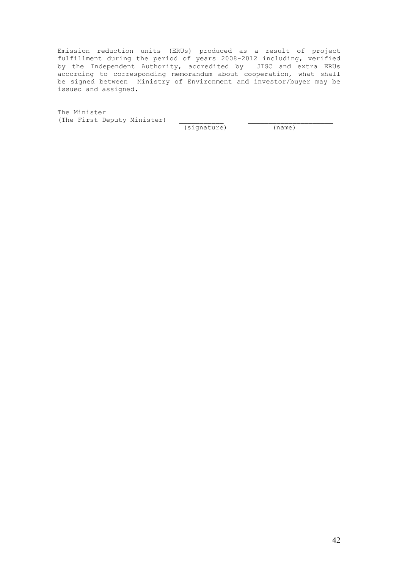Emission reduction units (ERUs) produced as a result of project fulfillment during the period of years 2008-2012 including, verified by the Independent Authority, accredited by JISC and extra ERUs according to corresponding memorandum about cooperation, what shall be signed between Ministry of Environment and investor/buyer may be issued and assigned.

The Minister (The First Deputy Minister)

(signature) (name)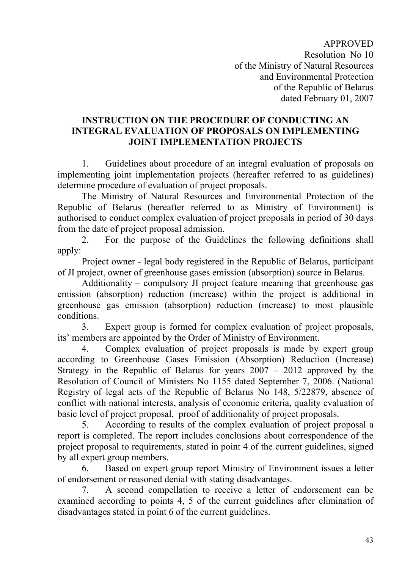APPROVED Resolution No 10 of the Ministry of Natural Resources and Environmental Protection of the Republic of Belarus dated February 01, 2007

## **INSTRUCTION ON THE PROCEDURE OF CONDUCTING AN INTEGRAL EVALUATION OF PROPOSALS ON IMPLEMENTING JOINT IMPLEMENTATION PROJECTS**

1. Guidelines about procedure of an integral evaluation of proposals on implementing joint implementation projects (hereafter referred to as guidelines) determine procedure of evaluation of project proposals.

The Ministry of Natural Resources and Environmental Protection of the Republic of Belarus (hereafter referred to as Ministry of Environment) is authorised to conduct complex evaluation of project proposals in period of 30 days from the date of project proposal admission.

2. For the purpose of the Guidelines the following definitions shall apply:

Project owner - legal body registered in the Republic of Belarus, participant of JI project, owner of greenhouse gases emission (absorption) source in Belarus.

Additionality – compulsory JI project feature meaning that greenhouse gas emission (absorption) reduction (increase) within the project is additional in greenhouse gas emission (absorption) reduction (increase) to most plausible conditions.

3. Expert group is formed for complex evaluation of project proposals, its' members are appointed by the Order of Ministry of Environment.

4. Complex evaluation of project proposals is made by expert group according to Greenhouse Gases Emission (Absorption) Reduction (Increase) Strategy in the Republic of Belarus for years 2007 – 2012 approved by the Resolution of Council of Ministers No 1155 dated September 7, 2006. (National Registry of legal acts of the Republic of Belarus No 148, 5/22879, absence of conflict with national interests, analysis of economic criteria, quality evaluation of basic level of project proposal, proof of additionality of project proposals.

5. According to results of the complex evaluation of project proposal a report is completed. The report includes conclusions about correspondence of the project proposal to requirements, stated in point 4 of the current guidelines, signed by all expert group members.

6. Based on expert group report Ministry of Environment issues a letter of endorsement or reasoned denial with stating disadvantages.

7. A second compellation to receive a letter of endorsement can be examined according to points 4, 5 of the current guidelines after elimination of disadvantages stated in point 6 of the current guidelines.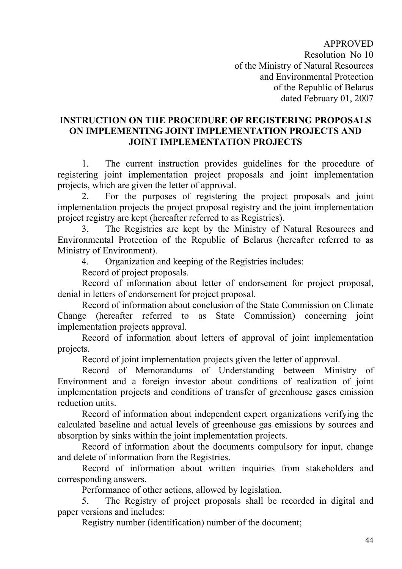APPROVED Resolution No 10 of the Ministry of Natural Resources and Environmental Protection of the Republic of Belarus dated February 01, 2007

## **INSTRUCTION ON THE PROCEDURE OF REGISTERING PROPOSALS ON IMPLEMENTING JOINT IMPLEMENTATION PROJECTS AND JOINT IMPLEMENTATION PROJECTS**

1. The current instruction provides guidelines for the procedure of registering joint implementation project proposals and joint implementation projects, which are given the letter of approval.

2. For the purposes of registering the project proposals and joint implementation projects the project proposal registry and the joint implementation project registry are kept (hereafter referred to as Registries).

3. The Registries are kept by the Ministry of Natural Resources and Environmental Protection of the Republic of Belarus (hereafter referred to as Ministry of Environment).

4. Organization and keeping of the Registries includes:

Record of project proposals.

Record of information about letter of endorsement for project proposal, denial in letters of endorsement for project proposal.

Record of information about conclusion of the State Commission on Climate Change (hereafter referred to as State Commission) concerning joint implementation projects approval.

Record of information about letters of approval of joint implementation projects.

Record of joint implementation projects given the letter of approval.

Record of Memorandums of Understanding between Ministry of Environment and a foreign investor about conditions of realization of joint implementation projects and conditions of transfer of greenhouse gases emission reduction units.

Record of information about independent expert organizations verifying the calculated baseline and actual levels of greenhouse gas emissions by sources and absorption by sinks within the joint implementation projects.

Record of information about the documents compulsory for input, change and delete of information from the Registries.

Record of information about written inquiries from stakeholders and corresponding answers.

Performance of other actions, allowed by legislation.

5. The Registry of project proposals shall be recorded in digital and paper versions and includes:

Registry number (identification) number of the document;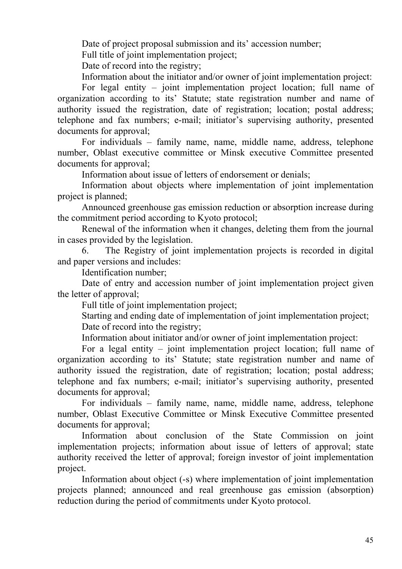Date of project proposal submission and its' accession number;

Full title of joint implementation project;

Date of record into the registry;

Information about the initiator and/or owner of joint implementation project:

For legal entity – joint implementation project location; full name of organization according to its' Statute; state registration number and name of authority issued the registration, date of registration; location; postal address; telephone and fax numbers; e-mail; initiator's supervising authority, presented documents for approval;

For individuals – family name, name, middle name, address, telephone number, Oblast executive committee or Minsk executive Committee presented documents for approval;

Information about issue of letters of endorsement or denials;

Information about objects where implementation of joint implementation project is planned;

Announced greenhouse gas emission reduction or absorption increase during the commitment period according to Kyoto protocol;

Renewal of the information when it changes, deleting them from the journal in cases provided by the legislation.

6. The Registry of joint implementation projects is recorded in digital and paper versions and includes:

Identification number;

Date of entry and accession number of joint implementation project given the letter of approval;

Full title of joint implementation project;

Starting and ending date of implementation of joint implementation project; Date of record into the registry;

Information about initiator and/or owner of joint implementation project:

For a legal entity – joint implementation project location; full name of organization according to its' Statute; state registration number and name of authority issued the registration, date of registration; location; postal address; telephone and fax numbers; e-mail; initiator's supervising authority, presented documents for approval;

For individuals – family name, name, middle name, address, telephone number, Oblast Executive Committee or Minsk Executive Committee presented documents for approval;

Information about conclusion of the State Commission on joint implementation projects; information about issue of letters of approval; state authority received the letter of approval; foreign investor of joint implementation project.

Information about object (-s) where implementation of joint implementation projects planned; announced and real greenhouse gas emission (absorption) reduction during the period of commitments under Kyoto protocol.